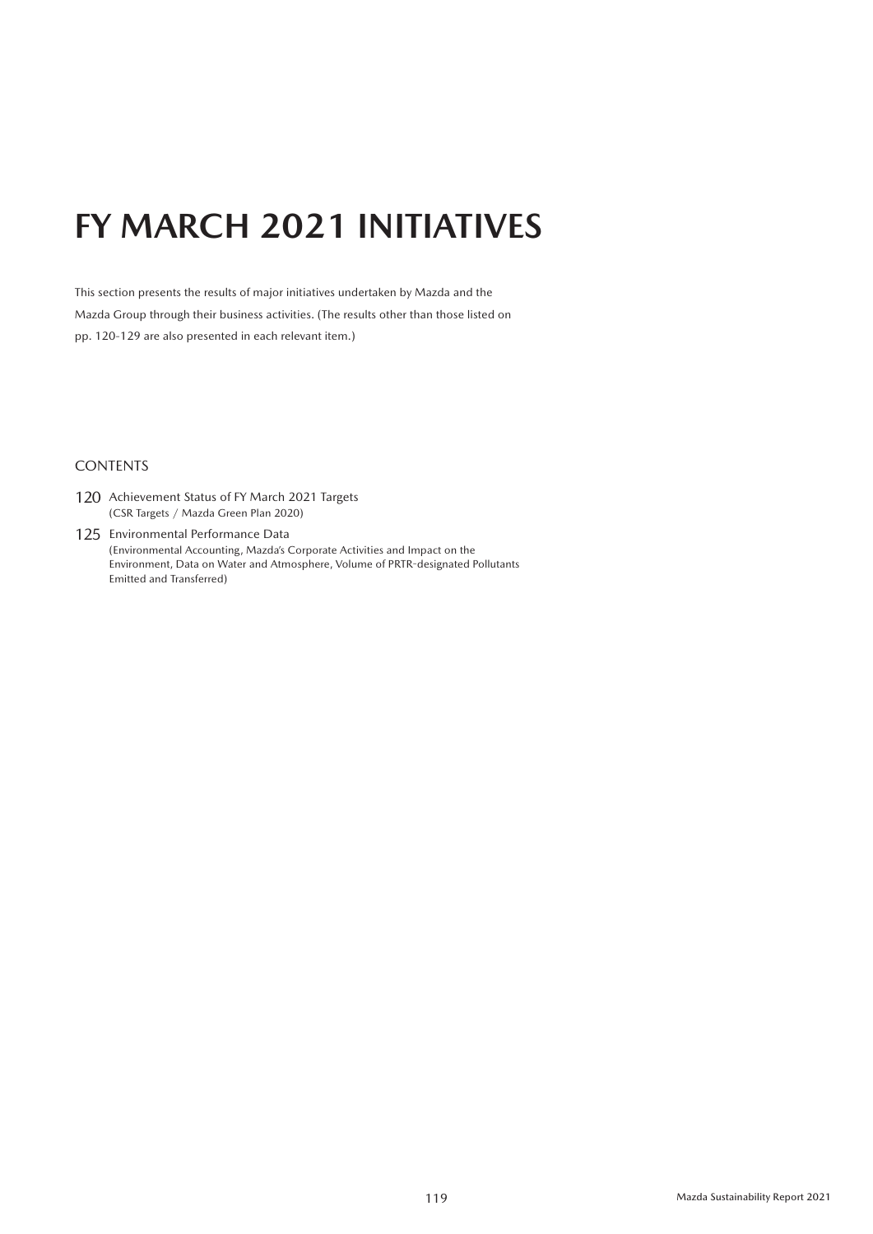# **FY MARCH 2021 INITIATIVES**

This section presents the results of major initiatives undertaken by Mazda and the Mazda Group through their business activities. (The results other than those listed on pp. 120-129 are also presented in each relevant item.)

#### **CONTENTS**

- 120 Achievement Status of FY March 2021 Targets (CSR Targets / Mazda Green Plan 2020)
- 125 Environmental Performance Data (Environmental Accounting, Mazda's Corporate Activities and Impact on the Environment, Data on Water and Atmosphere, Volume of PRTR-designated Pollutants Emitted and Transferred)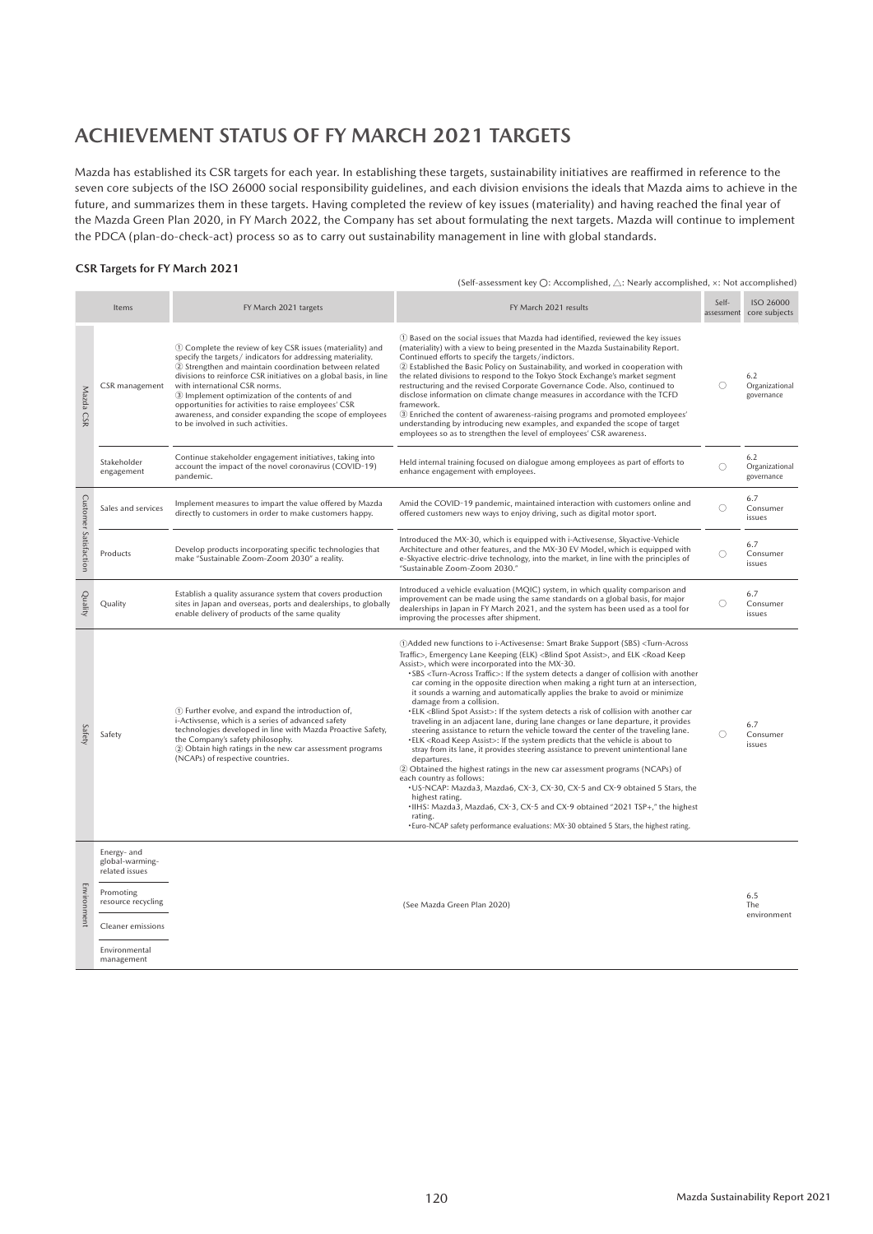# **ACHIEVEMENT STATUS OF FY MARCH 2021 TARGETS**

Mazda has established its CSR targets for each year. In establishing these targets, sustainability initiatives are reaffirmed in reference to the seven core subjects of the ISO 26000 social responsibility guidelines, and each division envisions the ideals that Mazda aims to achieve in the future, and summarizes them in these targets. Having completed the review of key issues (materiality) and having reached the final year of the Mazda Green Plan 2020, in FY March 2022, the Company has set about formulating the next targets. Mazda will continue to implement the PDCA (plan-do-check-act) process so as to carry out sustainability management in line with global standards.

#### **CSR Targets for FY March 2021**

|                       |                                                                                                                                         |                                                                                                                                                                                                                                                                                                                                                                                                                                                                                                        | (Self-assessment key $\bigcirc$ : Accomplished, $\bigtriangleup$ : Nearly accomplished, x: Not accomplished)                                                                                                                                                                                                                                                                                                                                                                                                                                                                                                                                                                                                                                                                                                                                                                                                                                                                                                                                                                                                                                                                                                                                                                                                                                                                                                                                                                           |            |                                       |  |  |  |
|-----------------------|-----------------------------------------------------------------------------------------------------------------------------------------|--------------------------------------------------------------------------------------------------------------------------------------------------------------------------------------------------------------------------------------------------------------------------------------------------------------------------------------------------------------------------------------------------------------------------------------------------------------------------------------------------------|----------------------------------------------------------------------------------------------------------------------------------------------------------------------------------------------------------------------------------------------------------------------------------------------------------------------------------------------------------------------------------------------------------------------------------------------------------------------------------------------------------------------------------------------------------------------------------------------------------------------------------------------------------------------------------------------------------------------------------------------------------------------------------------------------------------------------------------------------------------------------------------------------------------------------------------------------------------------------------------------------------------------------------------------------------------------------------------------------------------------------------------------------------------------------------------------------------------------------------------------------------------------------------------------------------------------------------------------------------------------------------------------------------------------------------------------------------------------------------------|------------|---------------------------------------|--|--|--|
|                       | Items                                                                                                                                   | FY March 2021 targets                                                                                                                                                                                                                                                                                                                                                                                                                                                                                  | FY March 2021 results                                                                                                                                                                                                                                                                                                                                                                                                                                                                                                                                                                                                                                                                                                                                                                                                                                                                                                                                                                                                                                                                                                                                                                                                                                                                                                                                                                                                                                                                  | Self-      | ISO 26000<br>assessment core subjects |  |  |  |
| Mazda CSR             | CSR management                                                                                                                          | 1 Complete the review of key CSR issues (materiality) and<br>specify the targets / indicators for addressing materiality.<br>2 Strengthen and maintain coordination between related<br>divisions to reinforce CSR initiatives on a global basis, in line<br>with international CSR norms.<br>3 Implement optimization of the contents of and<br>opportunities for activities to raise employees' CSR<br>awareness, and consider expanding the scope of employees<br>to be involved in such activities. | 1) Based on the social issues that Mazda had identified, reviewed the key issues<br>(materiality) with a view to being presented in the Mazda Sustainability Report.<br>Continued efforts to specify the targets/indictors.<br>2 Established the Basic Policy on Sustainability, and worked in cooperation with<br>the related divisions to respond to the Tokyo Stock Exchange's market segment<br>restructuring and the revised Corporate Governance Code. Also, continued to<br>disclose information on climate change measures in accordance with the TCFD<br>framework.<br>3) Enriched the content of awareness-raising programs and promoted employees'<br>understanding by introducing new examples, and expanded the scope of target<br>employees so as to strengthen the level of employees' CSR awareness.                                                                                                                                                                                                                                                                                                                                                                                                                                                                                                                                                                                                                                                                   | O          | 6.2<br>Organizational<br>governance   |  |  |  |
|                       | Stakeholder<br>engagement                                                                                                               | Continue stakeholder engagement initiatives, taking into<br>account the impact of the novel coronavirus (COVID-19)<br>pandemic.                                                                                                                                                                                                                                                                                                                                                                        | Held internal training focused on dialogue among employees as part of efforts to<br>enhance engagement with employees.                                                                                                                                                                                                                                                                                                                                                                                                                                                                                                                                                                                                                                                                                                                                                                                                                                                                                                                                                                                                                                                                                                                                                                                                                                                                                                                                                                 | $\circ$    | 6.2<br>Organizational<br>governance   |  |  |  |
|                       | Sales and services                                                                                                                      | Implement measures to impart the value offered by Mazda<br>directly to customers in order to make customers happy.                                                                                                                                                                                                                                                                                                                                                                                     | Amid the COVID-19 pandemic, maintained interaction with customers online and<br>offered customers new ways to enjoy driving, such as digital motor sport.                                                                                                                                                                                                                                                                                                                                                                                                                                                                                                                                                                                                                                                                                                                                                                                                                                                                                                                                                                                                                                                                                                                                                                                                                                                                                                                              | $\bigcirc$ | 6.7<br>Consumer<br>issues             |  |  |  |
| Customer Satisfaction | Products                                                                                                                                | Develop products incorporating specific technologies that<br>make "Sustainable Zoom-Zoom 2030" a reality.                                                                                                                                                                                                                                                                                                                                                                                              | Introduced the MX-30, which is equipped with i-Activesense, Skyactive-Vehicle<br>Architecture and other features, and the MX-30 EV Model, which is equipped with<br>e-Skyactive electric-drive technology, into the market, in line with the principles of<br>"Sustainable Zoom-Zoom 2030."                                                                                                                                                                                                                                                                                                                                                                                                                                                                                                                                                                                                                                                                                                                                                                                                                                                                                                                                                                                                                                                                                                                                                                                            | $\bigcirc$ | 6.7<br>Consumer<br>issues             |  |  |  |
| Quality               | Quality                                                                                                                                 | Establish a quality assurance system that covers production<br>sites in Japan and overseas, ports and dealerships, to globally<br>enable delivery of products of the same quality                                                                                                                                                                                                                                                                                                                      | Introduced a vehicle evaluation (MQIC) system, in which quality comparison and<br>improvement can be made using the same standards on a global basis, for major<br>dealerships in Japan in FY March 2021, and the system has been used as a tool for<br>improving the processes after shipment.                                                                                                                                                                                                                                                                                                                                                                                                                                                                                                                                                                                                                                                                                                                                                                                                                                                                                                                                                                                                                                                                                                                                                                                        | O          | 6.7<br>Consumer<br>issues             |  |  |  |
| Safety                | Safety                                                                                                                                  | (1) Further evolve, and expand the introduction of,<br>i-Activsense, which is a series of advanced safety<br>technologies developed in line with Mazda Proactive Safety,<br>the Company's safety philosophy.<br>2 Obtain high ratings in the new car assessment programs<br>(NCAPs) of respective countries.                                                                                                                                                                                           | 1) OAdded new functions to i-Activesense: Smart Brake Support (SBS) <turn-across<br>Traffic&gt;, Emergency Lane Keeping (ELK) <blind assist="" spot="">, and ELK <road keep<br="">Assist&gt;, which were incorporated into the MX-30.<br/>•SBS <turn-across traffic="">: If the system detects a danger of collision with another<br/>car coming in the opposite direction when making a right turn at an intersection,<br/>it sounds a warning and automatically applies the brake to avoid or minimize<br/>damage from a collision.<br/>•ELK <blind assist="" spot="">: If the system detects a risk of collision with another car<br/>traveling in an adjacent lane, during lane changes or lane departure, it provides<br/>steering assistance to return the vehicle toward the center of the traveling lane.<br/>•ELK <road assist="" keep="">: If the system predicts that the vehicle is about to<br/>stray from its lane, it provides steering assistance to prevent unintentional lane<br/>departures.<br/>2 Obtained the highest ratings in the new car assessment programs (NCAPs) of<br/>each country as follows:<br/>.US-NCAP: Mazda3, Mazda6, CX-3, CX-30, CX-5 and CX-9 obtained 5 Stars, the<br/>highest rating.<br/>.IIHS: Mazda3, Mazda6, CX-3, CX-5 and CX-9 obtained "2021 TSP+," the highest<br/>rating.<br/>. Euro-NCAP safety performance evaluations: MX-30 obtained 5 Stars, the highest rating.</road></blind></turn-across></road></blind></turn-across<br> | Ω          | 6.7<br>Consumer<br>issues             |  |  |  |
| Environment           | Energy- and<br>global-warming-<br>related issues<br>Promoting<br>resource recycling<br>Cleaner emissions<br>Environmental<br>management |                                                                                                                                                                                                                                                                                                                                                                                                                                                                                                        | (See Mazda Green Plan 2020)                                                                                                                                                                                                                                                                                                                                                                                                                                                                                                                                                                                                                                                                                                                                                                                                                                                                                                                                                                                                                                                                                                                                                                                                                                                                                                                                                                                                                                                            |            | 6.5<br>The<br>environment             |  |  |  |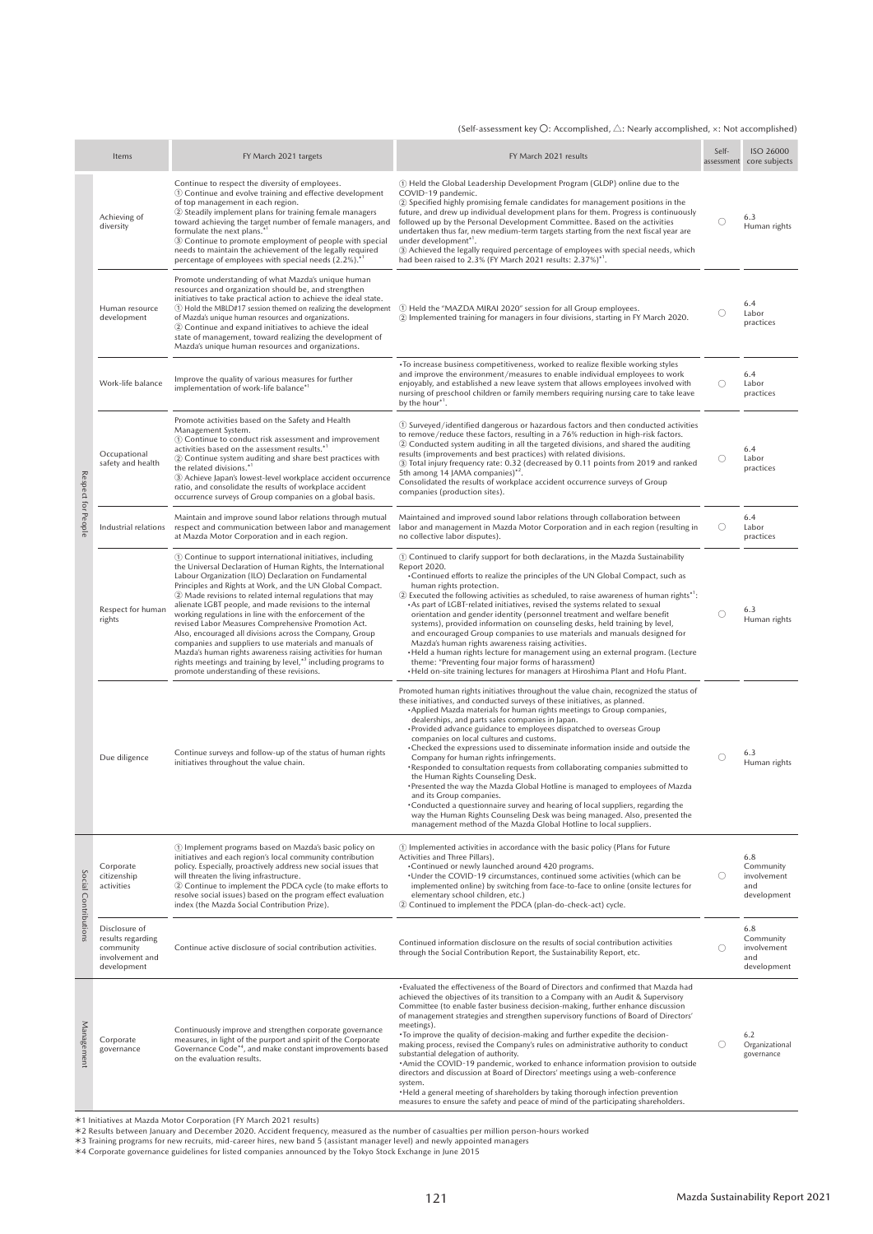#### (Self-assessment key 〇: Accomplished, △: Nearly accomplished, ×: Not accomplished)

|                      | Items                                                                             | FY March 2021 targets                                                                                                                                                                                                                                                                                                                                                                                                                                                                                                                                                                                                                                                                                                                                                                                        | FY March 2021 results                                                                                                                                                                                                                                                                                                                                                                                                                                                                                                                                                                                                                                                                                                                                                                                                                                                                                                                                                                                                                                                                                                                                                                                                                                                                                                                                                                                                                                                                                                                                                                                                                                      | Self-<br>assessment | ISO 26000<br>core subjects                            |  |  |
|----------------------|-----------------------------------------------------------------------------------|--------------------------------------------------------------------------------------------------------------------------------------------------------------------------------------------------------------------------------------------------------------------------------------------------------------------------------------------------------------------------------------------------------------------------------------------------------------------------------------------------------------------------------------------------------------------------------------------------------------------------------------------------------------------------------------------------------------------------------------------------------------------------------------------------------------|------------------------------------------------------------------------------------------------------------------------------------------------------------------------------------------------------------------------------------------------------------------------------------------------------------------------------------------------------------------------------------------------------------------------------------------------------------------------------------------------------------------------------------------------------------------------------------------------------------------------------------------------------------------------------------------------------------------------------------------------------------------------------------------------------------------------------------------------------------------------------------------------------------------------------------------------------------------------------------------------------------------------------------------------------------------------------------------------------------------------------------------------------------------------------------------------------------------------------------------------------------------------------------------------------------------------------------------------------------------------------------------------------------------------------------------------------------------------------------------------------------------------------------------------------------------------------------------------------------------------------------------------------------|---------------------|-------------------------------------------------------|--|--|
|                      | Achieving of<br>diversity                                                         | Continue to respect the diversity of employees.<br>1 Continue and evolve training and effective development<br>of top management in each region.<br>2) Steadily implement plans for training female managers<br>toward achieving the target number of female managers, and<br>formulate the next plans."<br>3 Continue to promote employment of people with special<br>needs to maintain the achievement of the legally required<br>percentage of employees with special needs (2.2%). <sup>*</sup>                                                                                                                                                                                                                                                                                                          | (1) Held the Global Leadership Development Program (GLDP) online due to the<br>COVID-19 pandemic.<br>2 Specified highly promising female candidates for management positions in the<br>future, and drew up individual development plans for them. Progress is continuously<br>followed up by the Personal Development Committee. Based on the activities<br>undertaken thus far, new medium-term targets starting from the next fiscal year are<br>under development <sup>*1</sup> .<br>3 Achieved the legally required percentage of employees with special needs, which<br>had been raised to 2.3% (FY March 2021 results: 2.37%)*1.                                                                                                                                                                                                                                                                                                                                                                                                                                                                                                                                                                                                                                                                                                                                                                                                                                                                                                                                                                                                                     | O                   | 6.3<br>Human rights                                   |  |  |
|                      | Human resource<br>development                                                     | Promote understanding of what Mazda's unique human<br>resources and organization should be, and strengthen<br>initiatives to take practical action to achieve the ideal state.<br>1) Hold the MBLD#17 session themed on realizing the development<br>of Mazda's unique human resources and organizations.<br>2 Continue and expand initiatives to achieve the ideal<br>state of management, toward realizing the development of<br>Mazda's unique human resources and organizations.                                                                                                                                                                                                                                                                                                                         | 1) Held the "MAZDA MIRAI 2020" session for all Group employees.<br>2 Implemented training for managers in four divisions, starting in FY March 2020.                                                                                                                                                                                                                                                                                                                                                                                                                                                                                                                                                                                                                                                                                                                                                                                                                                                                                                                                                                                                                                                                                                                                                                                                                                                                                                                                                                                                                                                                                                       | O                   | 6.4<br>Labor<br>practices                             |  |  |
|                      | Work-life balance                                                                 | Improve the quality of various measures for further<br>implementation of work-life balance*                                                                                                                                                                                                                                                                                                                                                                                                                                                                                                                                                                                                                                                                                                                  | •To increase business competitiveness, worked to realize flexible working styles<br>and improve the environment/measures to enable individual employees to work<br>enjoyably, and established a new leave system that allows employees involved with<br>nursing of preschool children or family members requiring nursing care to take leave<br>by the hour*1.<br>1) Surveyed/identified dangerous or hazardous factors and then conducted activities<br>to remove/reduce these factors, resulting in a 76% reduction in high-risk factors.<br>2 Conducted system auditing in all the targeted divisions, and shared the auditing<br>results (improvements and best practices) with related divisions.<br>3 Total injury frequency rate: 0.32 (decreased by 0.11 points from 2019 and ranked<br>5th among 14 JAMA companies) <sup>*2</sup> .<br>Consolidated the results of workplace accident occurrence surveys of Group<br>companies (production sites).<br>Maintained and improved sound labor relations through collaboration between<br>labor and management in Mazda Motor Corporation and in each region (resulting in<br>no collective labor disputes).<br>(1) Continued to clarify support for both declarations, in the Mazda Sustainability<br>Report 2020.<br>•Continued efforts to realize the principles of the UN Global Compact, such as<br>human rights protection.<br>2) Executed the following activities as scheduled, to raise awareness of human rights <sup>*1</sup> :<br>• As part of LGBT-related initiatives, revised the systems related to sexual<br>orientation and gender identity (personnel treatment and welfare benefit |                     |                                                       |  |  |
| Respect for People   | Occupational<br>safety and health                                                 | Promote activities based on the Safety and Health<br>Management System.<br>(1) Continue to conduct risk assessment and improvement<br>activities based on the assessment results. <sup>*</sup><br>2 Continue system auditing and share best practices with<br>the related divisions.*1<br>3 Achieve Japan's lowest-level workplace accident occurrence<br>ratio, and consolidate the results of workplace accident<br>occurrence surveys of Group companies on a global basis.                                                                                                                                                                                                                                                                                                                               |                                                                                                                                                                                                                                                                                                                                                                                                                                                                                                                                                                                                                                                                                                                                                                                                                                                                                                                                                                                                                                                                                                                                                                                                                                                                                                                                                                                                                                                                                                                                                                                                                                                            | O                   | 6.4<br>Labor<br>practices                             |  |  |
|                      | Industrial relations                                                              | Maintain and improve sound labor relations through mutual<br>respect and communication between labor and management<br>at Mazda Motor Corporation and in each region.                                                                                                                                                                                                                                                                                                                                                                                                                                                                                                                                                                                                                                        |                                                                                                                                                                                                                                                                                                                                                                                                                                                                                                                                                                                                                                                                                                                                                                                                                                                                                                                                                                                                                                                                                                                                                                                                                                                                                                                                                                                                                                                                                                                                                                                                                                                            | O                   | 6.4<br>Labor<br>practices                             |  |  |
|                      | Respect for human<br>rights                                                       | 1) Continue to support international initiatives, including<br>the Universal Declaration of Human Rights, the International<br>Labour Organization (ILO) Declaration on Fundamental<br>Principles and Rights at Work, and the UN Global Compact.<br>2 Made revisions to related internal regulations that may<br>alienate LGBT people, and made revisions to the internal<br>working regulations in line with the enforcement of the<br>revised Labor Measures Comprehensive Promotion Act.<br>Also, encouraged all divisions across the Company, Group<br>companies and suppliers to use materials and manuals of<br>Mazda's human rights awareness raising activities for human<br>rights meetings and training by level, <sup>*3</sup> including programs to<br>promote understanding of these revisions. | systems), provided information on counseling desks, held training by level,<br>and encouraged Group companies to use materials and manuals designed for<br>Mazda's human rights awareness raising activities.<br>• Held a human rights lecture for management using an external program. (Lecture<br>theme: "Preventing four major forms of harassment)<br>• Held on-site training lectures for managers at Hiroshima Plant and Hofu Plant.                                                                                                                                                                                                                                                                                                                                                                                                                                                                                                                                                                                                                                                                                                                                                                                                                                                                                                                                                                                                                                                                                                                                                                                                                | Ω                   | 6.3<br>Human rights                                   |  |  |
|                      | Due diligence                                                                     | Continue surveys and follow-up of the status of human rights<br>initiatives throughout the value chain.                                                                                                                                                                                                                                                                                                                                                                                                                                                                                                                                                                                                                                                                                                      | Promoted human rights initiatives throughout the value chain, recognized the status of<br>these initiatives, and conducted surveys of these initiatives, as planned.<br>• Applied Mazda materials for human rights meetings to Group companies,<br>dealerships, and parts sales companies in Japan.<br>• Provided advance guidance to employees dispatched to overseas Group<br>companies on local cultures and customs.<br>•Checked the expressions used to disseminate information inside and outside the<br>Company for human rights infringements.<br>•Responded to consultation requests from collaborating companies submitted to<br>the Human Rights Counseling Desk.<br>•Presented the way the Mazda Global Hotline is managed to employees of Mazda<br>and its Group companies.<br>•Conducted a questionnaire survey and hearing of local suppliers, regarding the<br>way the Human Rights Counseling Desk was being managed. Also, presented the<br>management method of the Mazda Global Hotline to local suppliers.                                                                                                                                                                                                                                                                                                                                                                                                                                                                                                                                                                                                                            | Ω                   | 6.3<br>Human rights                                   |  |  |
| Social Contributions | Corporate<br>citizenship<br>activities                                            | 1 Implement programs based on Mazda's basic policy on<br>initiatives and each region's local community contribution<br>policy. Especially, proactively address new social issues that<br>will threaten the living infrastructure.<br>2 Continue to implement the PDCA cycle (to make efforts to<br>resolve social issues) based on the program effect evaluation<br>index (the Mazda Social Contribution Prize).                                                                                                                                                                                                                                                                                                                                                                                             | 10 Implemented activities in accordance with the basic policy (Plans for Future<br>Activities and Three Pillars).<br>*Continued or newly launched around 420 programs.<br>. Under the COVID-19 circumstances, continued some activities (which can be<br>implemented online) by switching from face-to-face to online (onsite lectures for<br>elementary school children, etc.)<br>2 Continued to implement the PDCA (plan-do-check-act) cycle.                                                                                                                                                                                                                                                                                                                                                                                                                                                                                                                                                                                                                                                                                                                                                                                                                                                                                                                                                                                                                                                                                                                                                                                                            | O                   | 6.8<br>Community<br>involvement<br>and<br>development |  |  |
|                      | Disclosure of<br>results regarding<br>community<br>involvement and<br>development | Continue active disclosure of social contribution activities.                                                                                                                                                                                                                                                                                                                                                                                                                                                                                                                                                                                                                                                                                                                                                | Continued information disclosure on the results of social contribution activities<br>through the Social Contribution Report, the Sustainability Report, etc.                                                                                                                                                                                                                                                                                                                                                                                                                                                                                                                                                                                                                                                                                                                                                                                                                                                                                                                                                                                                                                                                                                                                                                                                                                                                                                                                                                                                                                                                                               | Ω                   | 6.8<br>Community<br>involvement<br>and<br>development |  |  |
| Management           | Corporate<br>governance                                                           | Continuously improve and strengthen corporate governance<br>measures, in light of the purport and spirit of the Corporate<br>Governance Code* <sup>4</sup> , and make constant improvements based<br>on the evaluation results.                                                                                                                                                                                                                                                                                                                                                                                                                                                                                                                                                                              | . Evaluated the effectiveness of the Board of Directors and confirmed that Mazda had<br>achieved the objectives of its transition to a Company with an Audit & Supervisory<br>Committee (to enable faster business decision-making, further enhance discussion<br>of management strategies and strengthen supervisory functions of Board of Directors'<br>meetings).<br>• To improve the quality of decision-making and further expedite the decision-<br>making process, revised the Company's rules on administrative authority to conduct<br>substantial delegation of authority.<br>·Amid the COVID-19 pandemic, worked to enhance information provision to outside<br>directors and discussion at Board of Directors' meetings using a web-conference<br>system.<br>. Held a general meeting of shareholders by taking thorough infection prevention<br>measures to ensure the safety and peace of mind of the participating shareholders.                                                                                                                                                                                                                                                                                                                                                                                                                                                                                                                                                                                                                                                                                                            | O                   | 6.2<br>Organizational<br>governance                   |  |  |

\*1 Initiatives at Mazda Motor Corporation (FY March 2021 results)<br>\*2 Results between January and December 2020. Accident frequency, measured as the number of casualties per million person-hours worked<br>\*3 Training programs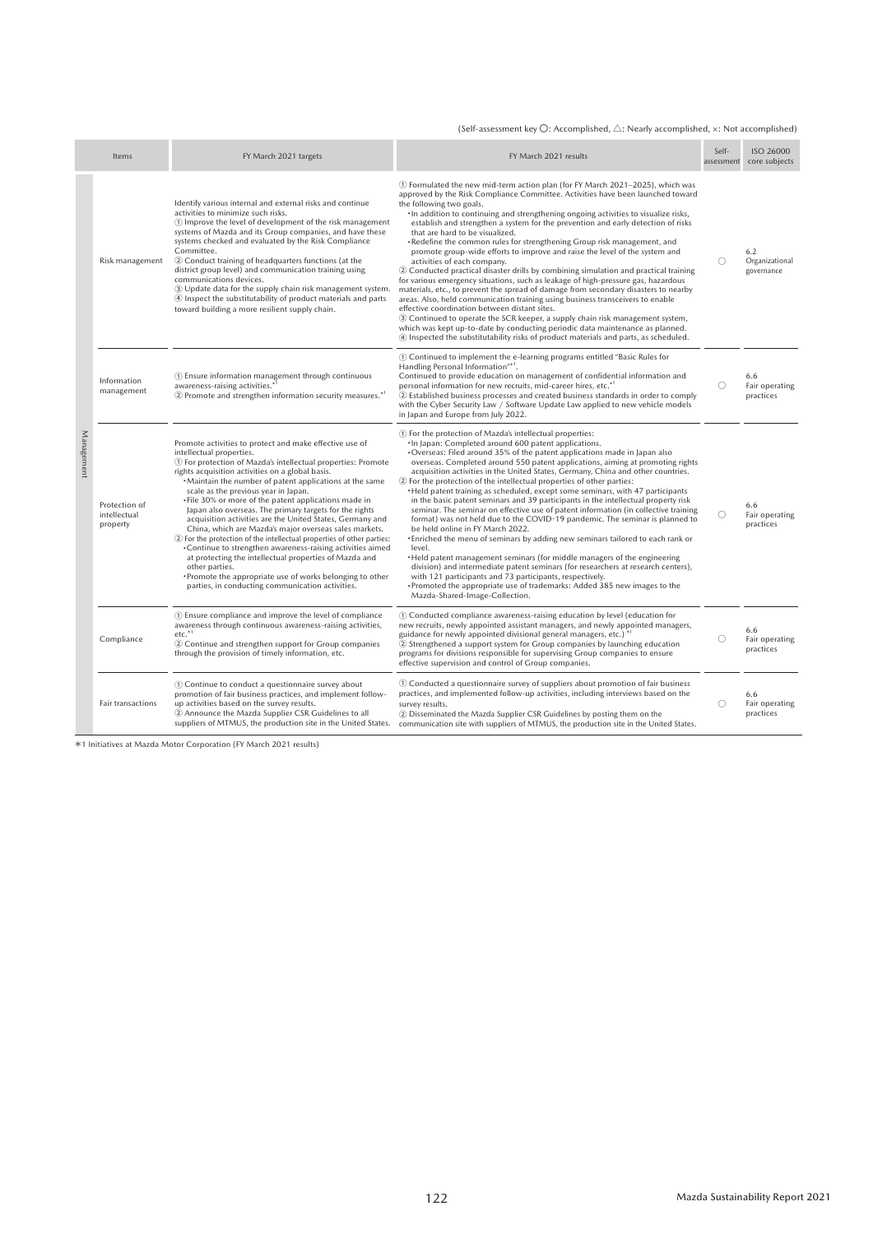#### (Self-assessment key  $\bigcirc$ : Accomplished,  $\bigtriangleup$ : Nearly accomplished,  $\times$ : Not accomplished)

|            | Items                                     | FY March 2021 targets                                                                                                                                                                                                                                                                                                                                                                                                                                                                                                                                                                                                                                                                                                                                                                                                                                                                    | FY March 2021 results                                                                                                                                                                                                                                                                                                                                                                                                                                                                                                                                                                                                                                                                                                                                                                                                                                                                                                                                                                                                                                                                                                                                                                                                                                                      | Self-<br>assessment | <b>ISO 26000</b><br>core subjects   |
|------------|-------------------------------------------|------------------------------------------------------------------------------------------------------------------------------------------------------------------------------------------------------------------------------------------------------------------------------------------------------------------------------------------------------------------------------------------------------------------------------------------------------------------------------------------------------------------------------------------------------------------------------------------------------------------------------------------------------------------------------------------------------------------------------------------------------------------------------------------------------------------------------------------------------------------------------------------|----------------------------------------------------------------------------------------------------------------------------------------------------------------------------------------------------------------------------------------------------------------------------------------------------------------------------------------------------------------------------------------------------------------------------------------------------------------------------------------------------------------------------------------------------------------------------------------------------------------------------------------------------------------------------------------------------------------------------------------------------------------------------------------------------------------------------------------------------------------------------------------------------------------------------------------------------------------------------------------------------------------------------------------------------------------------------------------------------------------------------------------------------------------------------------------------------------------------------------------------------------------------------|---------------------|-------------------------------------|
|            | Risk management                           | Identify various internal and external risks and continue<br>activities to minimize such risks.<br>(1) Improve the level of development of the risk management<br>systems of Mazda and its Group companies, and have these<br>systems checked and evaluated by the Risk Compliance<br>Committee.<br>2 Conduct training of headquarters functions (at the<br>district group level) and communication training using<br>communications devices.<br>3) Update data for the supply chain risk management system.<br>4 Inspect the substitutability of product materials and parts<br>toward building a more resilient supply chain.                                                                                                                                                                                                                                                          | 1) Formulated the new mid-term action plan (for FY March 2021-2025), which was<br>approved by the Risk Compliance Committee. Activities have been launched toward<br>the following two goals.<br>· In addition to continuing and strengthening ongoing activities to visualize risks,<br>establish and strengthen a system for the prevention and early detection of risks<br>that are hard to be visualized.<br>·Redefine the common rules for strengthening Group risk management, and<br>promote group-wide efforts to improve and raise the level of the system and<br>activities of each company.<br>2) Conducted practical disaster drills by combining simulation and practical training<br>for various emergency situations, such as leakage of high-pressure gas, hazardous<br>materials, etc., to prevent the spread of damage from secondary disasters to nearby<br>areas. Also, held communication training using business transceivers to enable<br>effective coordination between distant sites.<br>3 Continued to operate the SCR keeper, a supply chain risk management system,<br>which was kept up-to-date by conducting periodic data maintenance as planned.<br>4) Inspected the substitutability risks of product materials and parts, as scheduled.  | Ω                   | 6.2<br>Organizational<br>governance |
| Management | Information<br>management                 | 1) Ensure information management through continuous<br>awareness-raising activities.*<br>2 Promote and strengthen information security measures.*1                                                                                                                                                                                                                                                                                                                                                                                                                                                                                                                                                                                                                                                                                                                                       | 1) Continued to implement the e-learning programs entitled "Basic Rules for<br>Handling Personal Information"*1.<br>Continued to provide education on management of confidential information and<br>personal information for new recruits, mid-career hires, etc. <sup>*1</sup><br>2 Established business processes and created business standards in order to comply<br>with the Cyber Security Law / Software Update Law applied to new vehicle models<br>in Japan and Europe from July 2022.                                                                                                                                                                                                                                                                                                                                                                                                                                                                                                                                                                                                                                                                                                                                                                            | O                   | 6.6<br>Fair operating<br>practices  |
|            | Protection of<br>intellectual<br>property | Promote activities to protect and make effective use of<br>intellectual properties.<br>1 For protection of Mazda's intellectual properties: Promote<br>rights acquisition activities on a global basis.<br>•Maintain the number of patent applications at the same<br>scale as the previous year in Japan.<br>. File 30% or more of the patent applications made in<br>Japan also overseas. The primary targets for the rights<br>acquisition activities are the United States, Germany and<br>China, which are Mazda's major overseas sales markets.<br>2 For the protection of the intellectual properties of other parties:<br>*Continue to strengthen awareness-raising activities aimed<br>at protecting the intellectual properties of Mazda and<br>other parties.<br>•Promote the appropriate use of works belonging to other<br>parties, in conducting communication activities. | 1) For the protection of Mazda's intellectual properties:<br>· In Japan: Completed around 600 patent applications.<br>•Overseas: Filed around 35% of the patent applications made in Japan also<br>overseas. Completed around 550 patent applications, aiming at promoting rights<br>acquisition activities in the United States, Germany, China and other countries.<br>2 For the protection of the intellectual properties of other parties:<br>• Held patent training as scheduled, except some seminars, with 47 participants<br>in the basic patent seminars and 39 participants in the intellectual property risk<br>seminar. The seminar on effective use of patent information (in collective training<br>format) was not held due to the COVID-19 pandemic. The seminar is planned to<br>be held online in FY March 2022.<br>•Enriched the menu of seminars by adding new seminars tailored to each rank or<br>level.<br>• Held patent management seminars (for middle managers of the engineering<br>division) and intermediate patent seminars (for researchers at research centers),<br>with 121 participants and 73 participants, respectively.<br>•Promoted the appropriate use of trademarks: Added 385 new images to the<br>Mazda-Shared-Image-Collection. | 0                   | 6.6<br>Fair operating<br>practices  |
|            | Compliance                                | 1) Ensure compliance and improve the level of compliance<br>awareness through continuous awareness-raising activities,<br>$etc.*1$<br>2 Continue and strengthen support for Group companies<br>through the provision of timely information, etc.                                                                                                                                                                                                                                                                                                                                                                                                                                                                                                                                                                                                                                         | 1) Conducted compliance awareness-raising education by level (education for<br>new recruits, newly appointed assistant managers, and newly appointed managers,<br>guidance for newly appointed divisional general managers, etc.) <sup>*1</sup><br>2 Strengthened a support system for Group companies by launching education<br>programs for divisions responsible for supervising Group companies to ensure<br>effective supervision and control of Group companies.                                                                                                                                                                                                                                                                                                                                                                                                                                                                                                                                                                                                                                                                                                                                                                                                     | O                   | 6.6<br>Fair operating<br>practices  |
|            | Fair transactions                         | 1) Continue to conduct a questionnaire survey about<br>promotion of fair business practices, and implement follow-<br>up activities based on the survey results.<br>2 Announce the Mazda Supplier CSR Guidelines to all<br>suppliers of MTMUS, the production site in the United States.                                                                                                                                                                                                                                                                                                                                                                                                                                                                                                                                                                                                 | 1) Conducted a questionnaire survey of suppliers about promotion of fair business<br>practices, and implemented follow-up activities, including interviews based on the<br>survey results.<br>2 Disseminated the Mazda Supplier CSR Guidelines by posting them on the<br>communication site with suppliers of MTMUS, the production site in the United States.                                                                                                                                                                                                                                                                                                                                                                                                                                                                                                                                                                                                                                                                                                                                                                                                                                                                                                             | ∩                   | 6.6<br>Fair operating<br>practices  |

\*1 Initiatives at Mazda Motor Corporation (FY March 2021 results)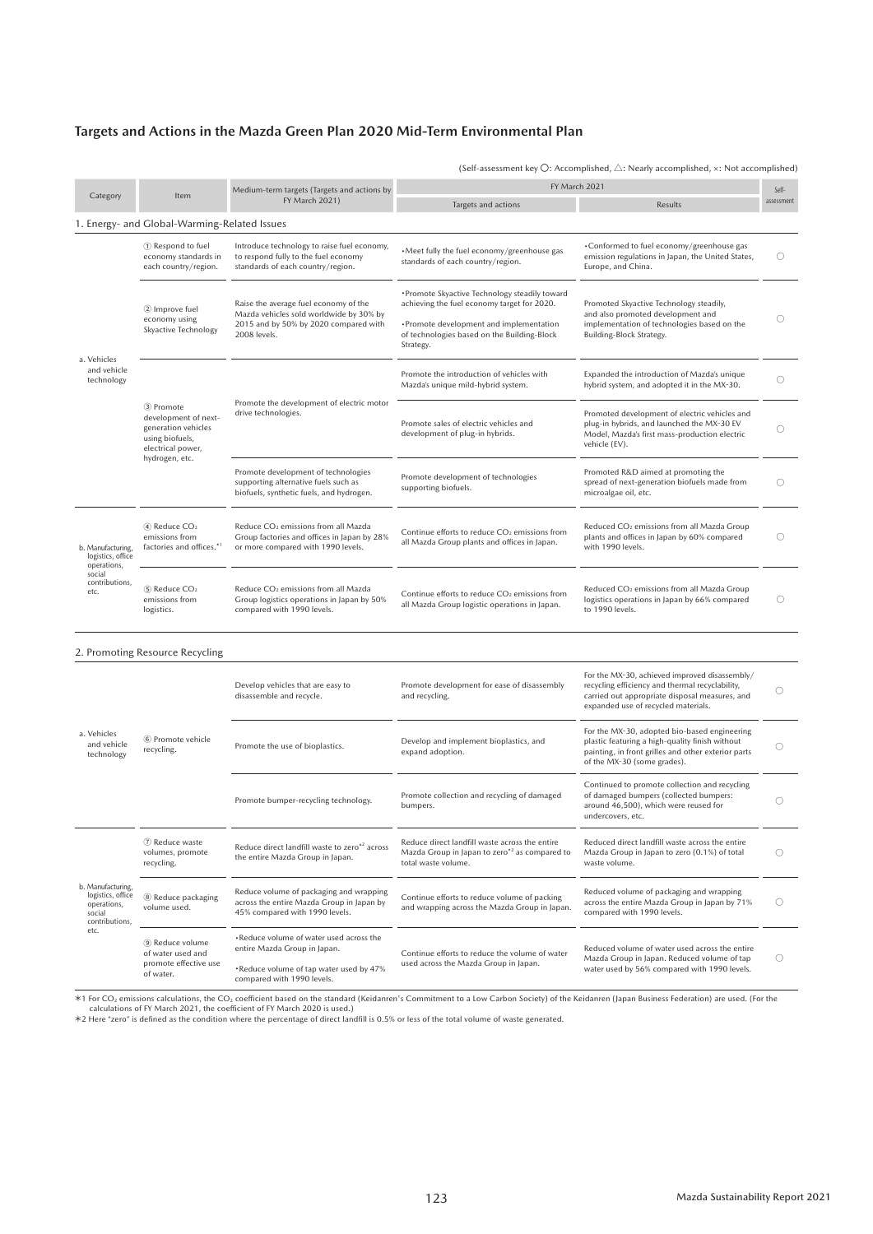### **Targets and Actions in the Mazda Green Plan 2020 Mid-Term Environmental Plan**

| (Self-assessment key $\bigcirc$ : Accomplished, $\bigtriangleup$ : Nearly accomplished, $\times$ : Not accomplished) |
|----------------------------------------------------------------------------------------------------------------------|
|----------------------------------------------------------------------------------------------------------------------|

|                                                       |                                                                                                   | Medium-term targets (Targets and actions by                                                                                               | FY March 2021                                                                                                                                                                                        |                                                                                                                                                               |                     |
|-------------------------------------------------------|---------------------------------------------------------------------------------------------------|-------------------------------------------------------------------------------------------------------------------------------------------|------------------------------------------------------------------------------------------------------------------------------------------------------------------------------------------------------|---------------------------------------------------------------------------------------------------------------------------------------------------------------|---------------------|
| Category                                              | Item                                                                                              | FY March 2021)                                                                                                                            | Targets and actions                                                                                                                                                                                  | <b>Results</b>                                                                                                                                                | Self-<br>assessment |
|                                                       | 1. Energy- and Global-Warming-Related Issues                                                      |                                                                                                                                           |                                                                                                                                                                                                      |                                                                                                                                                               |                     |
|                                                       | 1 Respond to fuel<br>economy standards in<br>each country/region.                                 | Introduce technology to raise fuel economy,<br>to respond fully to the fuel economy<br>standards of each country/region.                  | . Meet fully the fuel economy/greenhouse gas<br>standards of each country/region.                                                                                                                    | •Conformed to fuel economy/greenhouse gas<br>emission regulations in Japan, the United States,<br>Europe, and China.                                          | ()                  |
|                                                       | 2 Improve fuel<br>economy using<br>Skyactive Technology                                           | Raise the average fuel economy of the<br>Mazda vehicles sold worldwide by 30% by<br>2015 and by 50% by 2020 compared with<br>2008 levels. | • Promote Skyactive Technology steadily toward<br>achieving the fuel economy target for 2020.<br>•Promote development and implementation<br>of technologies based on the Building-Block<br>Strategy. | Promoted Skyactive Technology steadily,<br>and also promoted development and<br>implementation of technologies based on the<br>Building-Block Strategy.       | O                   |
| a. Vehicles<br>and vehicle.<br>technology             |                                                                                                   |                                                                                                                                           | Promote the introduction of vehicles with<br>Mazda's unique mild-hybrid system.                                                                                                                      | Expanded the introduction of Mazda's unique<br>hybrid system, and adopted it in the MX-30.                                                                    | 0                   |
|                                                       | 3) Promote<br>development of next-<br>generation vehicles<br>using biofuels,<br>electrical power, | Promote the development of electric motor<br>drive technologies.                                                                          | Promote sales of electric vehicles and<br>development of plug-in hybrids.                                                                                                                            | Promoted development of electric vehicles and<br>plug-in hybrids, and launched the MX-30 EV<br>Model, Mazda's first mass-production electric<br>vehicle (EV). | ()                  |
|                                                       | hydrogen, etc.                                                                                    | Promote development of technologies<br>supporting alternative fuels such as<br>biofuels, synthetic fuels, and hydrogen.                   | Promote development of technologies<br>supporting biofuels.                                                                                                                                          | Promoted R&D aimed at promoting the<br>spread of next-generation biofuels made from<br>microalgae oil, etc.                                                   | O                   |
| b. Manufacturing.<br>logistics, office<br>operations, | 4) Reduce CO <sub>2</sub><br>emissions from<br>factories and offices.*1                           | Reduce CO <sub>2</sub> emissions from all Mazda<br>Group factories and offices in Japan by 28%<br>or more compared with 1990 levels.      | Continue efforts to reduce CO <sub>2</sub> emissions from<br>all Mazda Group plants and offices in Japan.                                                                                            | Reduced CO <sub>2</sub> emissions from all Mazda Group<br>plants and offices in Japan by 60% compared<br>with 1990 levels.                                    |                     |
| social<br>contributions.<br>etc.                      | 5) Reduce CO <sub>2</sub><br>emissions from<br>logistics.                                         | Reduce CO <sub>2</sub> emissions from all Mazda<br>Group logistics operations in Japan by 50%<br>compared with 1990 levels.               | Continue efforts to reduce CO <sub>2</sub> emissions from<br>all Mazda Group logistic operations in Japan.                                                                                           | Reduced CO <sub>2</sub> emissions from all Mazda Group<br>logistics operations in Japan by 66% compared<br>to 1990 levels.                                    | Ο                   |

#### 2. Promoting Resource Recycling

|                                                                                   |                                                                                                                                  | Develop vehicles that are easy to<br>disassemble and recycle.                                                          | Promote development for ease of disassembly<br>and recycling.                                                                                                                         | For the MX-30, achieved improved disassembly/<br>recycling efficiency and thermal recyclability,<br>carried out appropriate disposal measures, and<br>expanded use of recycled materials. |            |
|-----------------------------------------------------------------------------------|----------------------------------------------------------------------------------------------------------------------------------|------------------------------------------------------------------------------------------------------------------------|---------------------------------------------------------------------------------------------------------------------------------------------------------------------------------------|-------------------------------------------------------------------------------------------------------------------------------------------------------------------------------------------|------------|
| a. Vehicles<br>and vehicle<br>technology                                          | 6 Promote vehicle<br>Develop and implement bioplastics, and<br>Promote the use of bioplastics.<br>recycling.<br>expand adoption. |                                                                                                                        | For the MX-30, adopted bio-based engineering<br>plastic featuring a high-quality finish without<br>painting, in front grilles and other exterior parts<br>of the MX-30 (some grades). |                                                                                                                                                                                           |            |
|                                                                                   |                                                                                                                                  | Promote bumper-recycling technology.                                                                                   | Promote collection and recycling of damaged<br>bumpers.                                                                                                                               | Continued to promote collection and recycling<br>of damaged bumpers (collected bumpers:<br>around 46,500), which were reused for<br>undercovers, etc.                                     |            |
|                                                                                   | (7) Reduce waste<br>volumes, promote<br>recycling.                                                                               | Reduce direct landfill waste to zero*2 across<br>the entire Mazda Group in Japan.                                      | Reduce direct landfill waste across the entire<br>Mazda Group in Japan to zero*2 as compared to<br>total waste volume.                                                                | Reduced direct landfill waste across the entire<br>Mazda Group in Japan to zero (0.1%) of total<br>waste volume.                                                                          |            |
| b. Manufacturing,<br>logistics, office<br>operations,<br>social<br>contributions. | 8 Reduce packaging<br>volume used.                                                                                               | Reduce volume of packaging and wrapping<br>across the entire Mazda Group in Japan by<br>45% compared with 1990 levels. | Continue efforts to reduce volume of packing<br>and wrapping across the Mazda Group in Japan.                                                                                         | Reduced volume of packaging and wrapping<br>across the entire Mazda Group in Japan by 71%<br>compared with 1990 levels.                                                                   | $\bigcirc$ |
| etc.                                                                              | 9) Reduce volume<br>of water used and                                                                                            | . Reduce volume of water used across the<br>entire Mazda Group in Japan.                                               | Continue efforts to reduce the volume of water                                                                                                                                        | Reduced volume of water used across the entire                                                                                                                                            |            |
|                                                                                   | promote effective use<br>of water.                                                                                               | . Reduce volume of tap water used by 47%<br>compared with 1990 levels.                                                 | used across the Mazda Group in Japan.                                                                                                                                                 | Mazda Group in Japan. Reduced volume of tap<br>water used by 56% compared with 1990 levels.                                                                                               |            |

\*1 For CO<sub>2</sub> emissions calculations, the CO<sub>2</sub> coefficient based on the standard (Keidanren's Commitment to a Low Carbon Society) of the Keidanren (Japan Business Federation) are used. (For the<br>calculations of FY March 20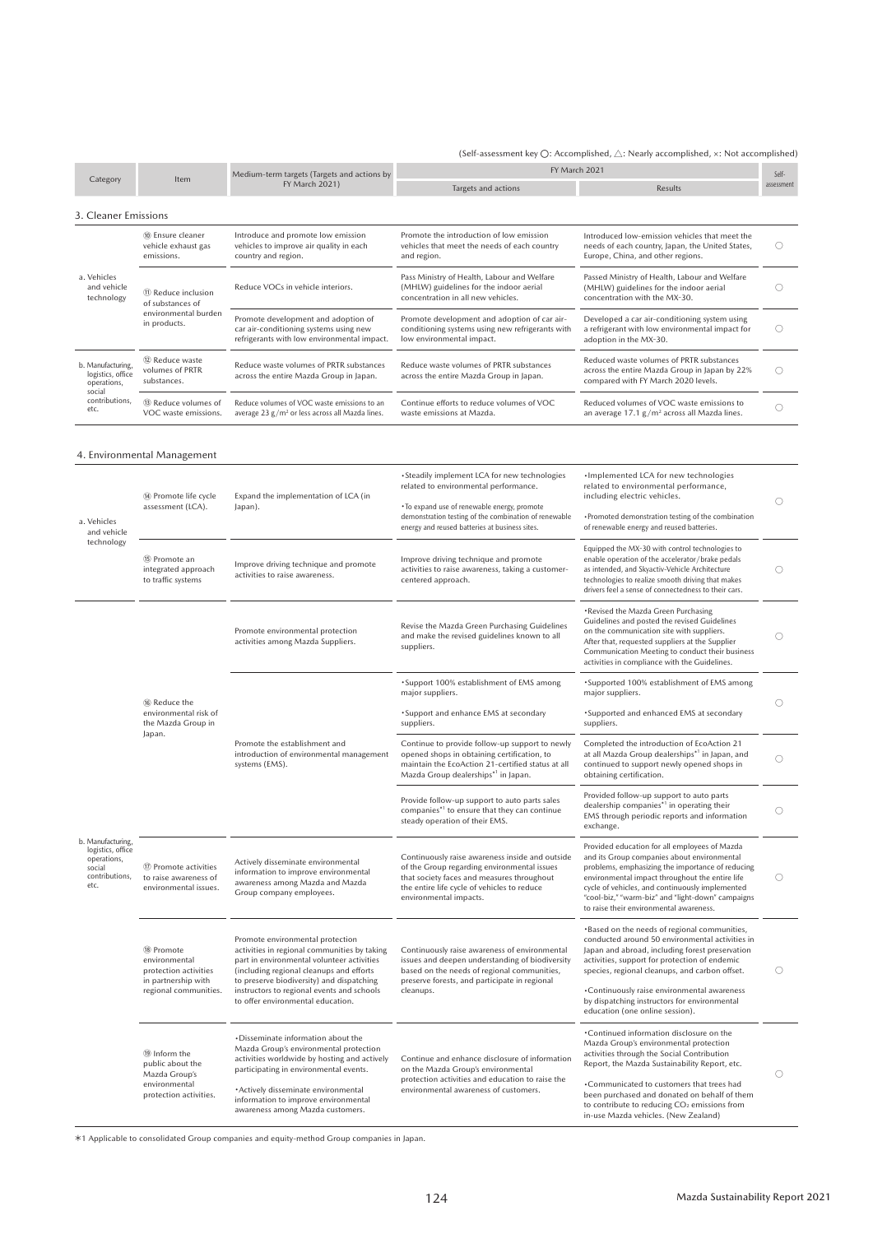#### (Self-assessment key  $\bigcirc$ : Accomplished,  $\triangle$ : Nearly accomplished,  $\times$ : Not accomplished)

|                                                                                           |                                                                                   | Medium-term targets (Targets and actions by                                                                                                                                                                                                                                             | FY March 2021                                                                                                                                                                                                         |                                                                                                                                                                                                                                                                                                                                                        | Self-      |  |
|-------------------------------------------------------------------------------------------|-----------------------------------------------------------------------------------|-----------------------------------------------------------------------------------------------------------------------------------------------------------------------------------------------------------------------------------------------------------------------------------------|-----------------------------------------------------------------------------------------------------------------------------------------------------------------------------------------------------------------------|--------------------------------------------------------------------------------------------------------------------------------------------------------------------------------------------------------------------------------------------------------------------------------------------------------------------------------------------------------|------------|--|
| Category                                                                                  | Item                                                                              | FY March 2021)<br>Targets and actions                                                                                                                                                                                                                                                   |                                                                                                                                                                                                                       | Results                                                                                                                                                                                                                                                                                                                                                | assessment |  |
| 3. Cleaner Emissions                                                                      |                                                                                   |                                                                                                                                                                                                                                                                                         |                                                                                                                                                                                                                       |                                                                                                                                                                                                                                                                                                                                                        |            |  |
|                                                                                           | 10 Ensure cleaner<br>vehicle exhaust gas<br>emissions.                            | Introduce and promote low emission<br>vehicles to improve air quality in each<br>country and region.                                                                                                                                                                                    | Promote the introduction of low emission<br>vehicles that meet the needs of each country<br>and region.                                                                                                               | Introduced low-emission vehicles that meet the<br>needs of each country, Japan, the United States,<br>Europe, China, and other regions.                                                                                                                                                                                                                | O          |  |
| a. Vehicles<br>and vehicle<br>technology                                                  | 11) Reduce inclusion<br>of substances of                                          | Reduce VOCs in vehicle interiors.                                                                                                                                                                                                                                                       | Pass Ministry of Health, Labour and Welfare<br>(MHLW) guidelines for the indoor aerial<br>concentration in all new vehicles.                                                                                          | Passed Ministry of Health, Labour and Welfare<br>(MHLW) guidelines for the indoor aerial<br>concentration with the MX-30.                                                                                                                                                                                                                              | O          |  |
|                                                                                           | environmental burden<br>in products.                                              | Promote development and adoption of<br>Promote development and adoption of car air-<br>car air-conditioning systems using new<br>conditioning systems using new refrigerants with<br>refrigerants with low environmental impact.<br>low environmental impact.<br>adoption in the MX-30. |                                                                                                                                                                                                                       | Developed a car air-conditioning system using<br>a refrigerant with low environmental impact for                                                                                                                                                                                                                                                       | O          |  |
| b. Manufacturing,<br>logistics, office<br>operations,                                     | (12) Reduce waste<br>volumes of PRTR<br>substances.                               | Reduce waste volumes of PRTR substances<br>across the entire Mazda Group in Japan.                                                                                                                                                                                                      | Reduce waste volumes of PRTR substances<br>across the entire Mazda Group in Japan.                                                                                                                                    | Reduced waste volumes of PRTR substances<br>across the entire Mazda Group in Japan by 22%<br>compared with FY March 2020 levels.                                                                                                                                                                                                                       | O          |  |
| social<br>contributions,<br>etc.                                                          | (i) Reduce volumes of<br>VOC waste emissions.                                     | Reduce volumes of VOC waste emissions to an<br>average 23 $g/m^2$ or less across all Mazda lines.                                                                                                                                                                                       | Continue efforts to reduce volumes of VOC<br>waste emissions at Mazda.                                                                                                                                                | Reduced volumes of VOC waste emissions to<br>an average $17.1 g/m^2$ across all Mazda lines.                                                                                                                                                                                                                                                           | O          |  |
|                                                                                           | 4. Environmental Management                                                       |                                                                                                                                                                                                                                                                                         |                                                                                                                                                                                                                       |                                                                                                                                                                                                                                                                                                                                                        |            |  |
|                                                                                           | (4) Promote life cycle                                                            | Expand the implementation of LCA (in                                                                                                                                                                                                                                                    | • Steadily implement LCA for new technologies<br>related to environmental performance.                                                                                                                                | ·Implemented LCA for new technologies<br>related to environmental performance,<br>including electric vehicles.                                                                                                                                                                                                                                         | O          |  |
| a. Vehicles<br>and vehicle                                                                | assessment (LCA).                                                                 | Japan).                                                                                                                                                                                                                                                                                 | • To expand use of renewable energy, promote<br>demonstration testing of the combination of renewable<br>energy and reused batteries at business sites.                                                               | •Promoted demonstration testing of the combination<br>of renewable energy and reused batteries.                                                                                                                                                                                                                                                        |            |  |
| technology                                                                                | 15 Promote an<br>integrated approach<br>to traffic systems                        | Improve driving technique and promote<br>activities to raise awareness.                                                                                                                                                                                                                 | Improve driving technique and promote<br>activities to raise awareness, taking a customer-<br>centered approach.                                                                                                      | Equipped the MX-30 with control technologies to<br>enable operation of the accelerator/brake pedals<br>as intended, and Skyactiv-Vehicle Architecture<br>technologies to realize smooth driving that makes<br>drivers feel a sense of connectedness to their cars.                                                                                     | O          |  |
|                                                                                           |                                                                                   | Promote environmental protection<br>activities among Mazda Suppliers.                                                                                                                                                                                                                   | Revise the Mazda Green Purchasing Guidelines<br>and make the revised guidelines known to all<br>suppliers.                                                                                                            | •Revised the Mazda Green Purchasing<br>Guidelines and posted the revised Guidelines<br>on the communication site with suppliers.<br>After that, requested suppliers at the Supplier<br>Communication Meeting to conduct their business<br>activities in compliance with the Guidelines.                                                                | O          |  |
|                                                                                           |                                                                                   |                                                                                                                                                                                                                                                                                         | •Support 100% establishment of EMS among<br>major suppliers.                                                                                                                                                          | •Supported 100% establishment of EMS among<br>major suppliers.                                                                                                                                                                                                                                                                                         |            |  |
|                                                                                           | <sup>16</sup> Reduce the<br>environmental risk of<br>the Mazda Group in<br>Japan. |                                                                                                                                                                                                                                                                                         | • Support and enhance EMS at secondary<br>suppliers.                                                                                                                                                                  | •Supported and enhanced EMS at secondary<br>suppliers.                                                                                                                                                                                                                                                                                                 | O<br>O     |  |
|                                                                                           |                                                                                   | Promote the establishment and<br>introduction of environmental management<br>systems (EMS).                                                                                                                                                                                             | Continue to provide follow-up support to newly<br>opened shops in obtaining certification, to<br>maintain the EcoAction 21-certified status at all<br>Mazda Group dealerships*1 in Japan.                             | Completed the introduction of EcoAction 21<br>at all Mazda Group dealerships*1 in Japan, and<br>continued to support newly opened shops in<br>obtaining certification.                                                                                                                                                                                 |            |  |
|                                                                                           |                                                                                   |                                                                                                                                                                                                                                                                                         | Provide follow-up support to auto parts sales<br>companies <sup>*1</sup> to ensure that they can continue<br>steady operation of their EMS.                                                                           | Provided follow-up support to auto parts<br>dealership companies*1 in operating their<br>EMS through periodic reports and information<br>exchange.                                                                                                                                                                                                     | O          |  |
| b. Manufacturing,<br>logistics, office<br>operations,<br>social<br>contributions,<br>etc. | 17 Promote activities<br>to raise awareness of<br>environmental issues.           | Actively disseminate environmental<br>information to improve environmental<br>awareness among Mazda and Mazda<br>Group company employees.                                                                                                                                               | Continuously raise awareness inside and outside<br>of the Group regarding environmental issues<br>that society faces and measures throughout<br>the entire life cycle of vehicles to reduce<br>environmental impacts. | Provided education for all employees of Mazda<br>and its Group companies about environmental<br>problems, emphasizing the importance of reducing<br>environmental impact throughout the entire life<br>cycle of vehicles, and continuously implemented<br>"cool-biz," "warm-biz" and "light-down" campaigns<br>to raise their environmental awareness. | О          |  |
|                                                                                           | 18 Promote<br>environmental<br>protection activities<br>in partnership with       | Promote environmental protection<br>activities in regional communities by taking<br>part in environmental volunteer activities<br>(including regional cleanups and efforts<br>to preserve biodiversity) and dispatching                                                                 | Continuously raise awareness of environmental<br>issues and deepen understanding of biodiversity<br>based on the needs of regional communities,<br>preserve forests, and participate in regional                      | *Based on the needs of regional communities,<br>conducted around 50 environmental activities in<br>Japan and abroad, including forest preservation<br>activities, support for protection of endemic<br>species, regional cleanups, and carbon offset.                                                                                                  | O          |  |
|                                                                                           | regional communities.                                                             | instructors to regional events and schools<br>to offer environmental education.                                                                                                                                                                                                         | cleanups.                                                                                                                                                                                                             | •Continuously raise environmental awareness<br>by dispatching instructors for environmental<br>education (one online session).                                                                                                                                                                                                                         |            |  |
|                                                                                           | <sup>(19)</sup> Inform the<br>public about the<br>Mazda Group's                   | •Disseminate information about the<br>Mazda Group's environmental protection<br>activities worldwide by hosting and actively<br>participating in environmental events.                                                                                                                  | Continue and enhance disclosure of information<br>on the Mazda Group's environmental                                                                                                                                  | *Continued information disclosure on the<br>Mazda Group's environmental protection<br>activities through the Social Contribution<br>Report, the Mazda Sustainability Report, etc.                                                                                                                                                                      | O          |  |
|                                                                                           | environmental<br>protection activities.                                           | ·Actively disseminate environmental<br>information to improve environmental<br>awareness among Mazda customers.                                                                                                                                                                         | protection activities and education to raise the<br>environmental awareness of customers.                                                                                                                             | •Communicated to customers that trees had<br>been purchased and donated on behalf of them<br>to contribute to reducing CO <sub>2</sub> emissions from<br>in-use Mazda vehicles. (New Zealand)                                                                                                                                                          |            |  |

\*1 Applicable to consolidated Group companies and equity-method Group companies in Japan.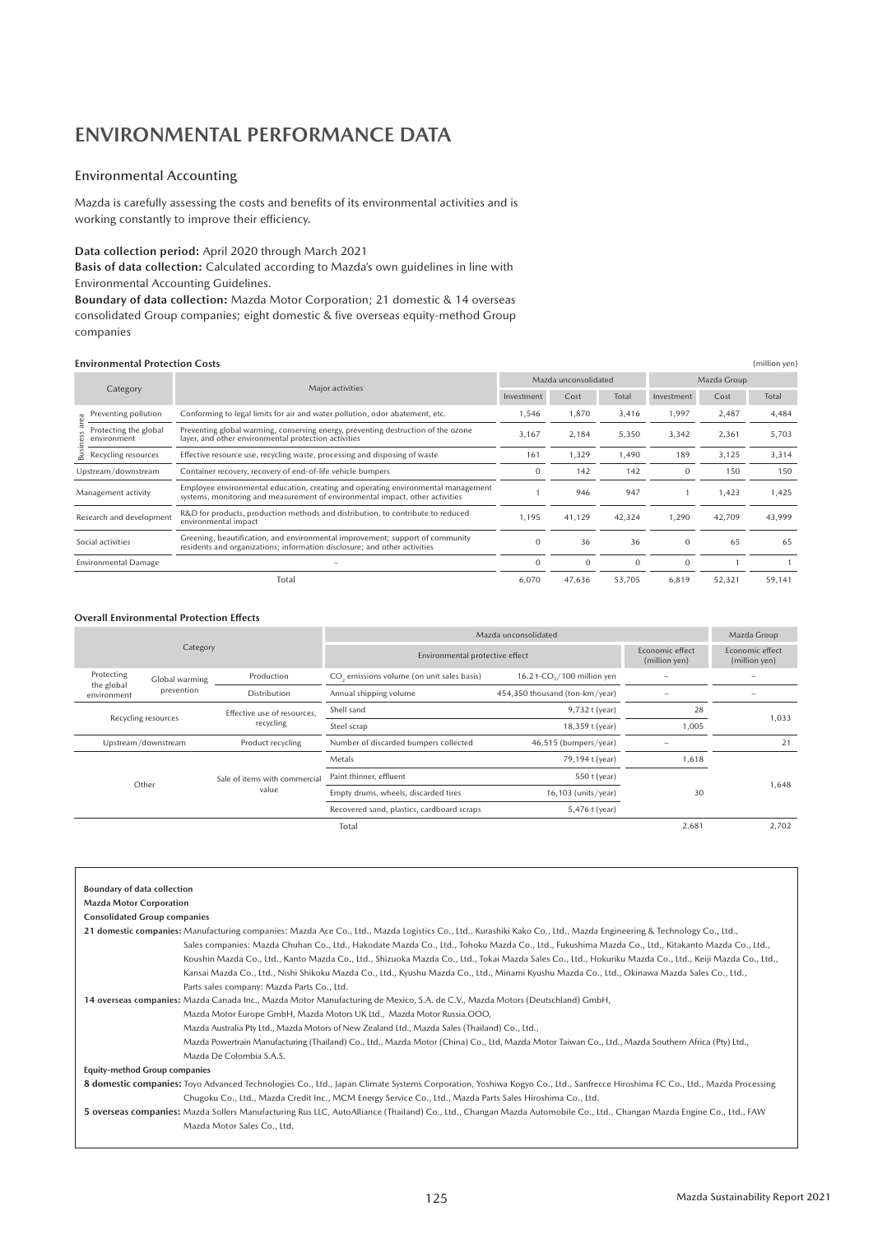## **ENVIRONMENTAL PERFORMANCE DATA**

### Environmental Accounting

Mazda is carefully assessing the costs and benefits of its environmental activities and is working constantly to improve their efficiency.

**Data collection period:** April 2020 through March 2021

**Basis of data collection:** Calculated according to Mazda's own guidelines in line with Environmental Accounting Guidelines.

**Boundary of data collection:** Mazda Motor Corporation; 21 domestic & 14 overseas consolidated Group companies; eight domestic & five overseas equity-method Group companies

#### **Environmental Protection Costs** (million yen)

| Category                 |                                      |                                                                                                                                                                    |                             | Mazda unconsolidated |              |              | Mazda Group |        |
|--------------------------|--------------------------------------|--------------------------------------------------------------------------------------------------------------------------------------------------------------------|-----------------------------|----------------------|--------------|--------------|-------------|--------|
|                          |                                      | Major activities                                                                                                                                                   | Total<br>Investment<br>Cost |                      | Investment   | Cost         | Total       |        |
|                          | Preventing pollution                 | Conforming to legal limits for air and water pollution, odor abatement, etc.                                                                                       | 1,546                       | 1,870                | 3,416        | 1,997        | 2,487       | 4,484  |
|                          | Protecting the global<br>environment | Preventing global warming, conserving energy, preventing destruction of the ozone<br>layer, and other environmental protection activities                          | 3,167                       | 2,184                | 5,350        | 3,342        | 2,361       | 5,703  |
|                          | Recycling resources                  | Effective resource use, recycling waste, processing and disposing of waste                                                                                         | 161                         | 1,329                | 1,490        | 189          | 3,125       | 3,314  |
| Upstream/downstream      |                                      | Container recovery, recovery of end-of-life vehicle bumpers                                                                                                        | 0                           | 142                  | 142          | $\mathbf 0$  | 150         | 150    |
| Management activity      |                                      | Employee environmental education, creating and operating environmental management<br>systems, monitoring and measurement of environmental impact, other activities |                             | 946                  | 947          |              | 1,423       | 1,425  |
| Research and development |                                      | R&D for products, production methods and distribution, to contribute to reduced<br>environmental impact                                                            | 1.195                       | 41,129               | 42,324       | 1,290        | 42,709      | 43,999 |
| Social activities        |                                      | Greening, beautification, and environmental improvement; support of community<br>residents and organizations; information disclosure; and other activities         | $\Omega$                    | 36                   | 36           | $\mathbf{0}$ | 65          | 65     |
|                          | <b>Environmental Damage</b>          |                                                                                                                                                                    | $\Omega$                    | $\mathbf{0}$         | $\mathbf{0}$ | $\mathbf{0}$ |             |        |
|                          |                                      | Total                                                                                                                                                              | 6,070                       | 47,636               | 53,705       | 6,819        | 52,321      | 59,141 |

#### **Overall Environmental Protection Effects**

| Category                  |                |                               | Mazda unconsolidated                                           | Mazda Group                             |                                  |        |  |
|---------------------------|----------------|-------------------------------|----------------------------------------------------------------|-----------------------------------------|----------------------------------|--------|--|
|                           |                |                               | Environmental protective effect                                | Economic effect<br>(million yen)        | Economic effect<br>(million yen) |        |  |
| Protecting                | Global warming | Production                    | CO, emissions volume (on unit sales basis)                     | 16.2 t-CO <sub>2</sub> /100 million yen |                                  |        |  |
| the global<br>environment | prevention     | Distribution                  | Annual shipping volume                                         | 454,350 thousand (ton-km/year)          |                                  |        |  |
|                           |                | Effective use of resources.   | Shell sand                                                     | 9,732 t (year)                          | 28                               | 1,033  |  |
| Recycling resources       |                | recycling                     | Steel scrap                                                    | 18,359 t (year)                         | 1,005                            |        |  |
| Upstream/downstream       |                | Product recycling             | Number of discarded bumpers collected<br>46,515 (bumpers/year) |                                         |                                  | 21     |  |
| Other                     |                |                               | Metals                                                         | 79,194 t (year)                         | 1,618                            |        |  |
|                           |                | Sale of items with commercial | Paint thinner, effluent                                        | 550 t (year)                            |                                  | 648, ا |  |
|                           |                | value                         | Empty drums, wheels, discarded tires                           | $16,103$ (units/year)                   | 30                               |        |  |
|                           |                |                               | Recovered sand, plastics, cardboard scraps                     | 5,476 t (year)                          |                                  |        |  |
|                           |                |                               | Total                                                          |                                         | 2,681                            | 2.702  |  |

| <b>Boundary of data collection</b>                                                                                                                                         |
|----------------------------------------------------------------------------------------------------------------------------------------------------------------------------|
| <b>Mazda Motor Corporation</b>                                                                                                                                             |
| <b>Consolidated Group companies</b>                                                                                                                                        |
| 21 domestic companies: Manufacturing companies: Mazda Ace Co., Ltd., Mazda Logistics Co., Ltd., Kurashiki Kako Co., Ltd., Mazda Engineering & Technology Co., Ltd.,        |
| Sales companies: Mazda Chuhan Co., Ltd., Hakodate Mazda Co., Ltd., Tohoku Mazda Co., Ltd., Fukushima Mazda Co., Ltd., Kitakanto Mazda Co., Ltd.,                           |
| Koushin Mazda Co., Ltd., Kanto Mazda Co., Ltd., Shizuoka Mazda Co., Ltd., Tokai Mazda Sales Co., Ltd., Hokuriku Mazda Co., Ltd., Keiji Mazda Co., Ltd.,                    |
| Kansai Mazda Co., Ltd., Nishi Shikoku Mazda Co., Ltd., Kyushu Mazda Co., Ltd., Minami Kyushu Mazda Co., Ltd., Okinawa Mazda Sales Co., Ltd.,                               |
| Parts sales company: Mazda Parts Co., Ltd.                                                                                                                                 |
| 14 overseas companies: Mazda Canada Inc., Mazda Motor Manufacturing de Mexico, S.A. de C.V., Mazda Motors (Deutschland) GmbH,                                              |
| Mazda Motor Europe GmbH, Mazda Motors UK Ltd., Mazda Motor Russia.OOO,                                                                                                     |
| Mazda Australia Pty Ltd., Mazda Motors of New Zealand Ltd., Mazda Sales (Thailand) Co., Ltd.,                                                                              |
| Mazda Powertrain Manufacturing (Thailand) Co., Ltd., Mazda Motor (China) Co., Ltd, Mazda Motor Taiwan Co., Ltd., Mazda Southern Africa (Pty) Ltd.,                         |
| Mazda De Colombia S.A.S.                                                                                                                                                   |
| <b>Equity-method Group companies</b>                                                                                                                                       |
| 8 domestic companies: Toyo Advanced Technologies Co., Ltd., Japan Climate Systems Corporation, Yoshiwa Kogyo Co., Ltd., Sanfrecce Hiroshima FC Co., Ltd., Mazda Processing |
| Chugoku Co., Ltd., Mazda Credit Inc., MCM Energy Service Co., Ltd., Mazda Parts Sales Hiroshima Co., Ltd.                                                                  |
| 5 overseas companies: Mazda Sollers Manufacturing Rus LLC, AutoAlliance (Thailand) Co., Ltd., Changan Mazda Automobile Co., Ltd., Changan Mazda Engine Co., Ltd., FAW      |
| Mazda Motor Sales Co., Ltd.                                                                                                                                                |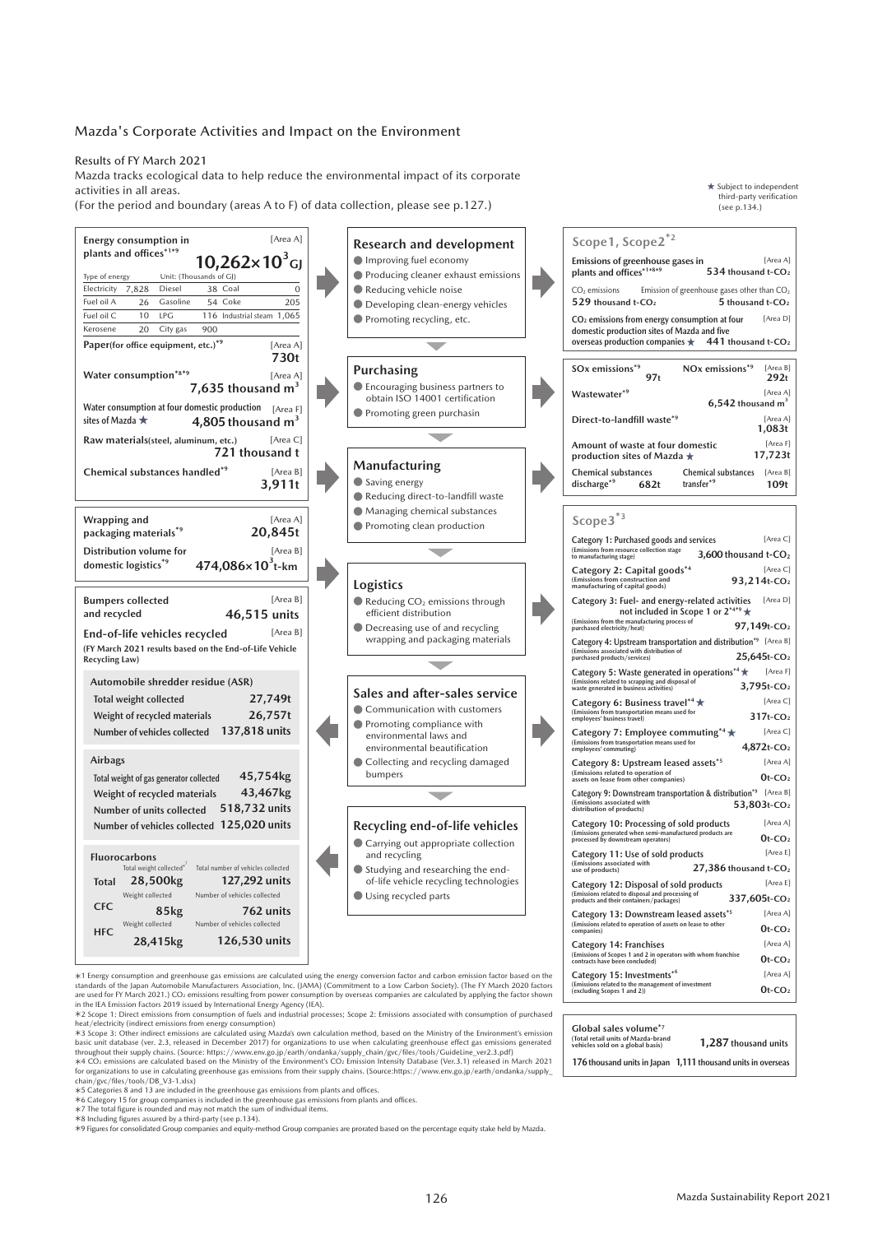#### Mazda's Corporate Activities and Impact on the Environment

Results of FY March 2021

Mazda tracks ecological data to help reduce the environmental impact of its corporate activities in all areas.

(For the period and boundary (areas A to F) of data collection, please see p.127.)

| [Area A]<br>Energy consumption in<br>plants and offices*1*5<br>$10,262\times10^3$ GJ                                                         | <b>Research and development</b><br>Improving fuel economy            | Scope1, Scope2 <sup>*2</sup><br>Emissions of greenhouse gases in<br>[Area A]<br>plants and offices*1*8*9<br>534 thousand t-CO2                                                       |
|----------------------------------------------------------------------------------------------------------------------------------------------|----------------------------------------------------------------------|--------------------------------------------------------------------------------------------------------------------------------------------------------------------------------------|
| Unit: (Thousands of GJ)<br>Type of energy<br>Electricity<br>7,828<br>38 Coal<br>Diesel<br>$\mathbf{0}$                                       | Producing cleaner exhaust emissions                                  |                                                                                                                                                                                      |
| Fuel oil A<br>26<br>Gasoline<br>54 Coke<br>205                                                                                               | Reducing vehicle noise<br>Developing clean-energy vehicles           | CO <sub>2</sub> emissions<br>Emission of greenhouse gases other than $CO2$<br>529 thousand t-CO <sub>2</sub><br>5 thousand t-CO <sub>2</sub>                                         |
| Fuel oil C<br>10<br>LPG<br>116 Industrial steam 1,065                                                                                        | Promoting recycling, etc.                                            | [Area D]<br>CO <sub>2</sub> emissions from energy consumption at four                                                                                                                |
| 20<br>City gas<br>900<br>Kerosene                                                                                                            |                                                                      | domestic production sites of Mazda and five                                                                                                                                          |
| Paper(for office equipment, etc.)*9<br>[Area A]<br>730t                                                                                      |                                                                      | overseas production companies $\star$ 441 thousand t-CO <sub>2</sub>                                                                                                                 |
| Water consumption*8*9<br>[Area A]                                                                                                            | Purchasing                                                           | NO <sub>x</sub> emissions <sup>*9</sup><br>[Area B]<br>SO <sub>x</sub> emissions <sup>*9</sup>                                                                                       |
| 7,635 thousand $m3$                                                                                                                          | ● Encouraging business partners to<br>obtain ISO 14001 certification | 97t<br>292t<br>[Area A]<br>Wastewater <sup>*9</sup><br>$6,542$ thousand $m3$                                                                                                         |
| Water consumption at four domestic production $[Area F]$<br>sites of Mazda $\star$<br>4,805 thousand $m3$                                    | ● Promoting green purchasin                                          | Direct-to-landfill waste*9<br>[Area A]<br>1,083t                                                                                                                                     |
| [Area C]<br>Raw materials(steel, aluminum, etc.)                                                                                             |                                                                      | Amount of waste at four domestic<br>[Area F]                                                                                                                                         |
| 721 thousand t                                                                                                                               |                                                                      | 17,723t<br>production sites of Mazda $\star$                                                                                                                                         |
| Chemical substances handled <sup>*9</sup><br>[Area B]                                                                                        | Manufacturing                                                        | <b>Chemical substances</b><br>Chemical substances [Area B]                                                                                                                           |
| 3,911t                                                                                                                                       | Saving energy<br>Reducing direct-to-landfill waste                   | transfer <sup>*9</sup><br>discharge <sup>*9</sup><br>109t<br>682t                                                                                                                    |
|                                                                                                                                              | ● Managing chemical substances                                       |                                                                                                                                                                                      |
| [Area A]<br>Wrapping and<br>20,845t<br>packaging materials*9                                                                                 | ● Promoting clean production                                         | Scope3 <sup>*3</sup>                                                                                                                                                                 |
| [Area B]<br>Distribution volume for                                                                                                          |                                                                      | [Area C]<br>Category 1: Purchased goods and services<br>(Emissions from resource collection stage<br>3,600 thousand $t$ -CO <sub>2</sub><br>to manufacturing stage)                  |
| domestic logistics <sup>*9</sup><br>$474,086\times10^{3}$ t-km                                                                               |                                                                      | Category 2: Capital goods*4<br>[Area C]<br>93,214t-CO <sub>2</sub>                                                                                                                   |
| [Area B]                                                                                                                                     | Logistics                                                            | (Emissions from construction and<br>manufacturing of capital goods)<br>[Area D]                                                                                                      |
| <b>Bumpers collected</b><br>and recycled<br>46,515 units                                                                                     | Reducing $CO2$ emissions through<br>efficient distribution           | Category 3: Fuel- and energy-related activities<br>not included in Scope 1 or $2^{***}$                                                                                              |
| [Area B]<br>End-of-life vehicles recycled                                                                                                    | ● Decreasing use of and recycling                                    | (Emissions from the manufacturing process of<br>97,149t-CO <sub>2</sub><br>purchased electricity/heat)                                                                               |
| (FY March 2021 results based on the End-of-Life Vehicle<br>Recycling Law)                                                                    | wrapping and packaging materials                                     | Category 4: Upstream transportation and distribution <sup>*9</sup> [Area B]<br>(Emissions associated with distribution of<br>25,645t-CO <sub>2</sub><br>purchased products/services) |
|                                                                                                                                              |                                                                      | Category 5: Waste generated in operations*4 *<br>[Area F]                                                                                                                            |
| Automobile shredder residue (ASR)                                                                                                            | Sales and after-sales service                                        | (Emissions related to scrapping and disposal of<br>3,795t-CO <sub>2</sub><br>waste generated in business activities)                                                                 |
| 27,749t<br>Total weight collected<br>26,757t<br>Weight of recycled materials                                                                 | Communication with customers                                         | Category 6: Business travel <sup>*4</sup> $\star$<br>[Area C]<br>(Emissions from transportation means used for<br>employees' business travel)<br>$317t$ -CO <sub>2</sub>             |
| Number of vehicles collected 137,818 units                                                                                                   | ● Promoting compliance with<br>environmental laws and                | [Area C]<br>Category 7: Employee commuting*4 $\star$                                                                                                                                 |
|                                                                                                                                              | environmental beautification                                         | (Emissions from transportation means used for<br>employees' commuting)<br>$4,872t$ -CO <sub>2</sub>                                                                                  |
| <b>Airbags</b>                                                                                                                               | Collecting and recycling damaged<br>bumpers                          | [Area A]<br>Category 8: Upstream leased assets <sup>*5</sup><br>(Emissions related to operation of<br>assets on lease from other companies)                                          |
| 45,754kg<br>Total weight of gas generator collected<br>43,467kg<br>Weight of recycled materials                                              |                                                                      | $0t$ -CO <sub>2</sub><br>Category 9: Downstream transportation & distribution*9 [Area B]                                                                                             |
| 518,732 units<br>Number of units collected                                                                                                   |                                                                      | (Emissions associated with<br>53,803t-CO <sub>2</sub><br>distribution of products)                                                                                                   |
| Number of vehicles collected 125,020 units                                                                                                   | Recycling end-of-life vehicles                                       | [Area A]<br>Category 10: Processing of sold products<br>(Emissions generated when semi-manufactured products are<br>processed by downstream operators)                               |
|                                                                                                                                              | Carrying out appropriate collection                                  | $0t$ -CO <sub>2</sub><br>[Area E]                                                                                                                                                    |
| <b>Fluorocarbons</b><br>Total weight collected <sup>*</sup> Total number of vehicles collected                                               | and recycling<br>Studying and researching the end-                   | Category 11: Use of sold products<br>(Emissions associated with<br>27,386 thousand t-CO <sub>2</sub><br>use of products)                                                             |
| 28,500kg<br>127,292 units<br>Total                                                                                                           | of-life vehicle recycling technologies                               | [Area E]<br>Category 12: Disposal of sold products                                                                                                                                   |
| Weight collected<br>Number of vehicles collected                                                                                             | Using recycled parts                                                 | (Emissions related to disposal and processing of<br>337,605t-CO <sub>2</sub><br>products and their containers/packages)                                                              |
| <b>CFC</b><br>85kg<br>762 units                                                                                                              |                                                                      | [Area A]<br>Category 13: Downstream leased assets <sup>*5</sup>                                                                                                                      |
| Weight collected<br>Number of vehicles collected<br><b>HFC</b>                                                                               |                                                                      | (Emissions related to operation of assets on lease to other<br>$0t$ -CO <sub>2</sub><br>companies)                                                                                   |
| 28,415kg<br>126,530 units                                                                                                                    |                                                                      | [Area A]<br>Category 14: Franchises<br>(Emissions of Scopes 1 and 2 in operators with whom franchise<br>$0t$ -CO <sub>2</sub><br>contracts have been concluded)                      |
| *1 Energy consumption and greenhouse gas emissions are calculated using the energy conversion factor and carbon emission factor based on the |                                                                      | Category 15: Investments <sup>*6</sup><br>[Area A]                                                                                                                                   |
| standards of the Japan Automobile Manufacturers Association, Inc. (JAMA) (Commitment to a Low Carbon Society), (The FY March 2020 factors    |                                                                      | (Emissions related to the management of investment<br>$0t$ -CO <sub>2</sub><br>(excluding Scopes 1 and 2))                                                                           |

standards of the Japan Automobile Manufacturers Association, Inc. (JAMA) (Commitment to a Low Carbon Society). (The FY March 2020 factors<br>are used for FY March 2021.) CO2 emissions resulting from power consumption by overs

chain/gvc/files/tools/DB\_V3-1.xlsx)<br>\*5 Categories 8 and 13 are included in the greenhouse gas emissions from plants and offices.<br>\*6 Category 15 for group companies is included in the greenhouse gas emissions from plants a

**1,287 thousand units**

**Global sales volume\*7 (Total retail units of Mazda-brand vehicles sold on a global basis)**

**176 thousand units in Japan 1,111thousand units in overseas**

<sup>★</sup> Subject to independent third-party verification (see p.134.)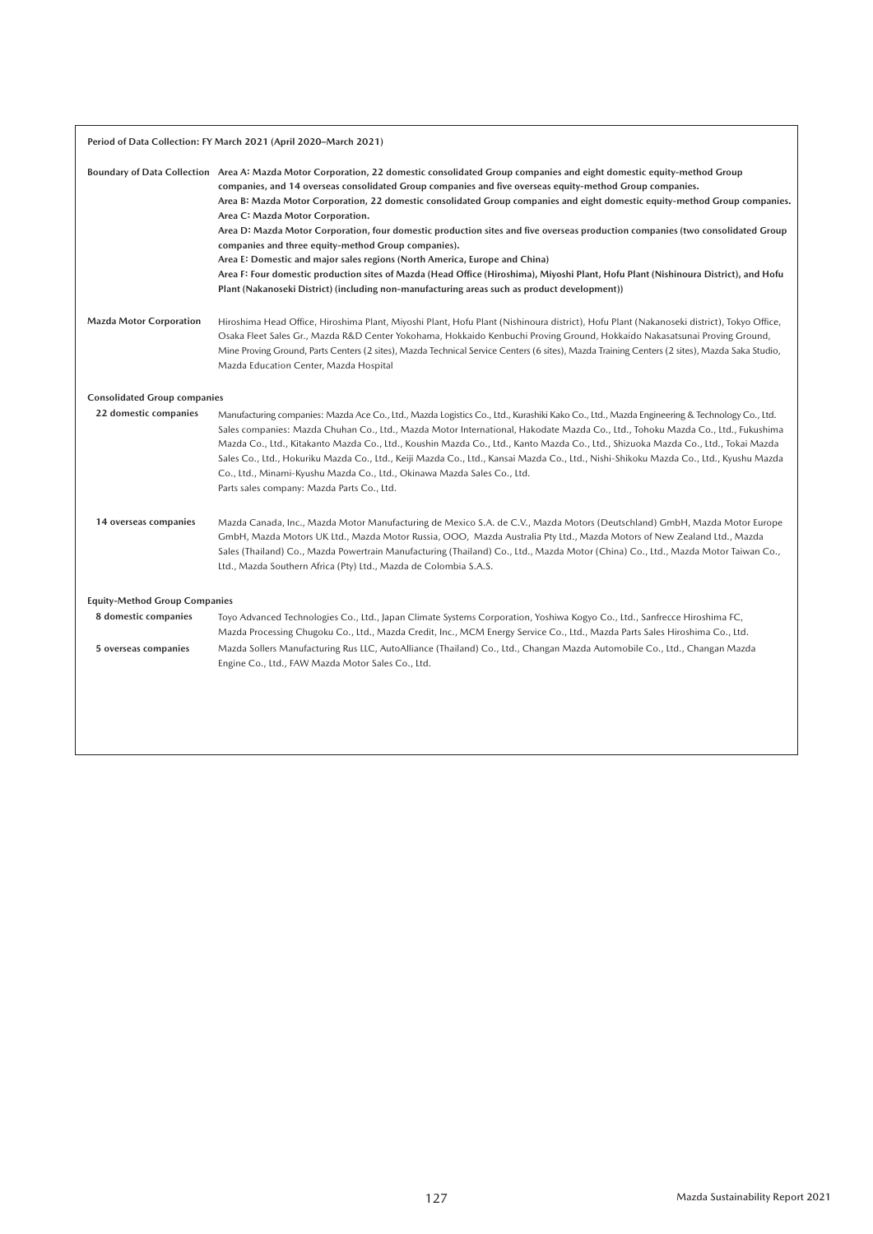| Period of Data Collection: FY March 2021 (April 2020-March 2021) |                                                                                                                                                                                                                                                                                                                                                                                                                                                                                                                                                                                                                                                                                                                                                                                                                                                                                                                                           |  |  |
|------------------------------------------------------------------|-------------------------------------------------------------------------------------------------------------------------------------------------------------------------------------------------------------------------------------------------------------------------------------------------------------------------------------------------------------------------------------------------------------------------------------------------------------------------------------------------------------------------------------------------------------------------------------------------------------------------------------------------------------------------------------------------------------------------------------------------------------------------------------------------------------------------------------------------------------------------------------------------------------------------------------------|--|--|
|                                                                  | Boundary of Data Collection Area A: Mazda Motor Corporation, 22 domestic consolidated Group companies and eight domestic equity-method Group<br>companies, and 14 overseas consolidated Group companies and five overseas equity-method Group companies.<br>Area B: Mazda Motor Corporation, 22 domestic consolidated Group companies and eight domestic equity-method Group companies.<br>Area C: Mazda Motor Corporation.<br>Area D: Mazda Motor Corporation, four domestic production sites and five overseas production companies (two consolidated Group<br>companies and three equity-method Group companies).<br>Area E: Domestic and major sales regions (North America, Europe and China)<br>Area F: Four domestic production sites of Mazda (Head Office (Hiroshima), Miyoshi Plant, Hofu Plant (Nishinoura District), and Hofu<br>Plant (Nakanoseki District) (including non-manufacturing areas such as product development)) |  |  |
| <b>Mazda Motor Corporation</b>                                   | Hiroshima Head Office, Hiroshima Plant, Miyoshi Plant, Hofu Plant (Nishinoura district), Hofu Plant (Nakanoseki district), Tokyo Office,<br>Osaka Fleet Sales Gr., Mazda R&D Center Yokohama, Hokkaido Kenbuchi Proving Ground, Hokkaido Nakasatsunai Proving Ground,<br>Mine Proving Ground, Parts Centers (2 sites), Mazda Technical Service Centers (6 sites), Mazda Training Centers (2 sites), Mazda Saka Studio,<br>Mazda Education Center, Mazda Hospital                                                                                                                                                                                                                                                                                                                                                                                                                                                                          |  |  |
| <b>Consolidated Group companies</b>                              |                                                                                                                                                                                                                                                                                                                                                                                                                                                                                                                                                                                                                                                                                                                                                                                                                                                                                                                                           |  |  |
| 22 domestic companies                                            | Manufacturing companies: Mazda Ace Co., Ltd., Mazda Logistics Co., Ltd., Kurashiki Kako Co., Ltd., Mazda Engineering & Technology Co., Ltd.<br>Sales companies: Mazda Chuhan Co., Ltd., Mazda Motor International, Hakodate Mazda Co., Ltd., Tohoku Mazda Co., Ltd., Fukushima<br>Mazda Co., Ltd., Kitakanto Mazda Co., Ltd., Koushin Mazda Co., Ltd., Kanto Mazda Co., Ltd., Shizuoka Mazda Co., Ltd., Tokai Mazda<br>Sales Co., Ltd., Hokuriku Mazda Co., Ltd., Keiji Mazda Co., Ltd., Kansai Mazda Co., Ltd., Nishi-Shikoku Mazda Co., Ltd., Kyushu Mazda<br>Co., Ltd., Minami-Kyushu Mazda Co., Ltd., Okinawa Mazda Sales Co., Ltd.<br>Parts sales company: Mazda Parts Co., Ltd.                                                                                                                                                                                                                                                     |  |  |
| 14 overseas companies                                            | Mazda Canada, Inc., Mazda Motor Manufacturing de Mexico S.A. de C.V., Mazda Motors (Deutschland) GmbH, Mazda Motor Europe<br>GmbH, Mazda Motors UK Ltd., Mazda Motor Russia, OOO, Mazda Australia Pty Ltd., Mazda Motors of New Zealand Ltd., Mazda<br>Sales (Thailand) Co., Mazda Powertrain Manufacturing (Thailand) Co., Ltd., Mazda Motor (China) Co., Ltd., Mazda Motor Taiwan Co.,<br>Ltd., Mazda Southern Africa (Pty) Ltd., Mazda de Colombia S.A.S.                                                                                                                                                                                                                                                                                                                                                                                                                                                                              |  |  |
| <b>Equity-Method Group Companies</b>                             |                                                                                                                                                                                                                                                                                                                                                                                                                                                                                                                                                                                                                                                                                                                                                                                                                                                                                                                                           |  |  |
| 8 domestic companies                                             | Toyo Advanced Technologies Co., Ltd., Japan Climate Systems Corporation, Yoshiwa Kogyo Co., Ltd., Sanfrecce Hiroshima FC,<br>Mazda Processing Chugoku Co., Ltd., Mazda Credit, Inc., MCM Energy Service Co., Ltd., Mazda Parts Sales Hiroshima Co., Ltd.                                                                                                                                                                                                                                                                                                                                                                                                                                                                                                                                                                                                                                                                                  |  |  |
| 5 overseas companies                                             | Mazda Sollers Manufacturing Rus LLC, AutoAlliance (Thailand) Co., Ltd., Changan Mazda Automobile Co., Ltd., Changan Mazda<br>Engine Co., Ltd., FAW Mazda Motor Sales Co., Ltd.                                                                                                                                                                                                                                                                                                                                                                                                                                                                                                                                                                                                                                                                                                                                                            |  |  |
|                                                                  |                                                                                                                                                                                                                                                                                                                                                                                                                                                                                                                                                                                                                                                                                                                                                                                                                                                                                                                                           |  |  |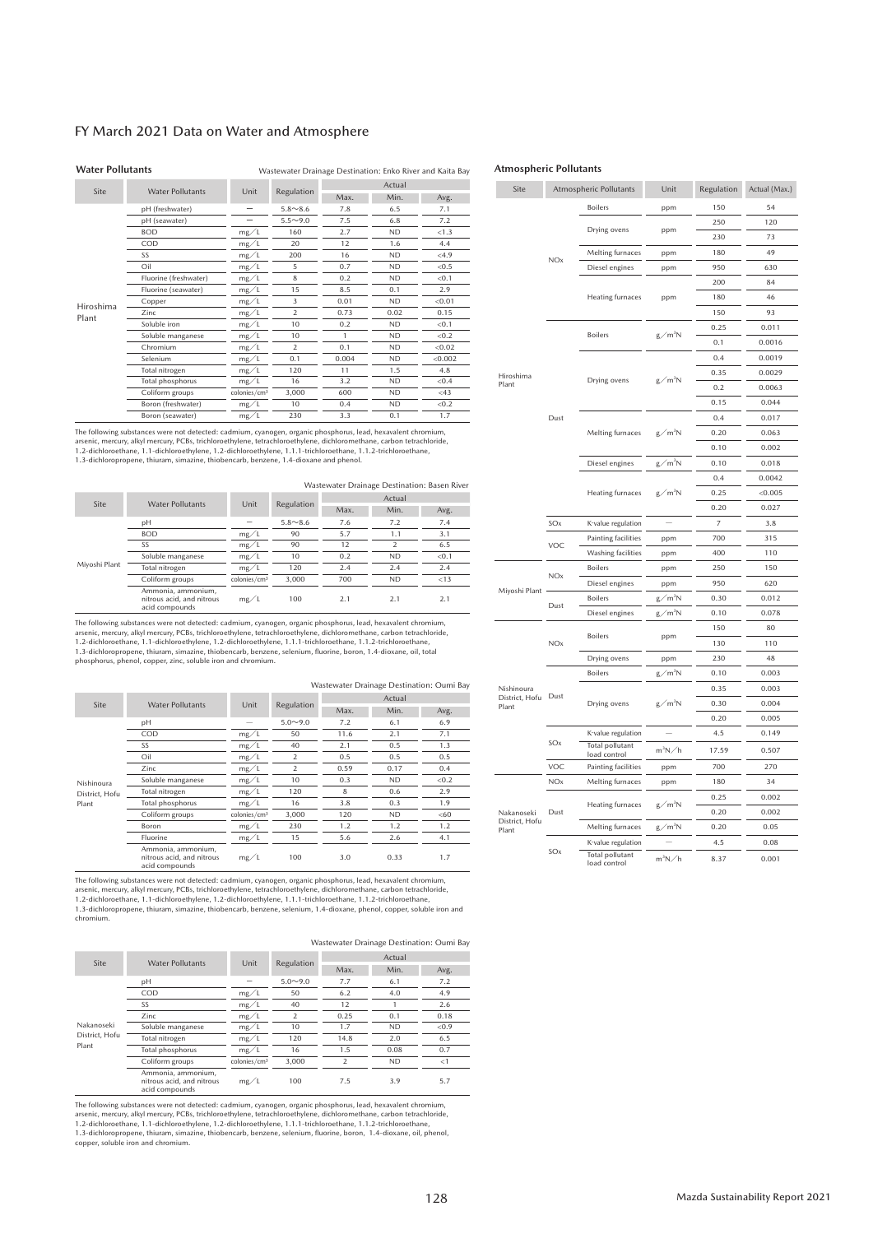#### FY March 2021 Data on Water and Atmosphere

#### **Water Pollutants** Wastewater Drainage Destination: Enko River and Kaita Bay

Site Water Pollutants Unit Regulation Actual Actual Min. Avg. Hiroshima Plant pH (freshwater)  $-$  5.8~8.6 7.8 6.5 7.1<br>nH (seawater)  $-$  5.5~9.0 7.5 6.8 7.2 pH (seawater)  $\frac{ }{ \text{BOD}}$   $\frac{ }{ \text{BOD}}$   $\frac{ }{ \text{C}}$   $\frac{ }{ \text{C}}$   $\frac{ }{ \text{D}}$   $\frac{ }{ \text{D}}$   $\frac{ }{ \text{D}}$   $\frac{ }{ \text{D}}$   $\frac{ }{ \text{D}}$   $\frac{ }{ \text{D}}$   $\frac{ }{ \text{C}}$   $\frac{ }{ \text{D}}$   $\frac{ }{ \text{D}}$   $\frac{ }{ \text{C}}$   $\frac{ }{ \text{D}}$   $\frac{ }{ \text{D$  $BOD$  mg/L 160 2.7 ND <1.3 COD mg/L 20 12 1.6 4.4 SS  $mg/L$  200 16 ND <4.9 Oil mg/L 5 0.7 ND <0.5 Fluorine (freshwater)  $\frac{mg}{L}$   $\frac{g}{g}$   $\frac{mg}{L}$   $\frac{g}{g}$   $\frac{mg}{L}$   $\frac{g}{g}$   $\frac{mg}{L}$   $\frac{g}{g}$   $\frac{1}{g}$   $\frac{1}{g}$   $\frac{1}{g}$   $\frac{1}{g}$   $\frac{1}{g}$   $\frac{1}{g}$   $\frac{1}{g}$   $\frac{1}{g}$   $\frac{1}{g}$   $\frac{1}{g}$   $\frac{1}{g}$   $\frac{1}{g}$ Fluorine (seawater) mg/L  $\frac{mg}{mg}$   $\frac{15}{3}$   $\frac{8.5}{0.01}$   $\frac{0.1}{ND}$   $\frac{2.9}{0.01}$ Copper  $mg/L$  3 0.01 ND <0.01  $\text{Zinc}$  and  $\text{mg/L}$  and  $\text{mg/L}$  2  $\text{0.73}$  0.02  $\text{0.15}$ Soluble iron  $mg/L$  10 0.2 ND <0.1 Soluble manganese  $mg/L$   $10$   $1$   $ND$   $< 0.2$  $Chromium$  mg/L 2 0.1 ND <0.02 Selenium mg/L 0.1 0.004 ND <0.002 Total nitrogen mg/L  $\frac{mg}{mg/1}$   $\frac{120}{16}$   $\frac{11}{3.2}$   $\frac{1.5}{ND}$   $\frac{4.8}{< 0.4}$ Total phosphorus mg/L  $\frac{mg}{\sqrt{16}}$   $\frac{16}{3.2}$   $\frac{3.2}{600}$   $\frac{ND}{ND}$   $\frac{0.04 \times 0.43}{0.43 \times 0.43}$ Coliform groups Boron (freshwater) mg/L  $\frac{mg}{10}$  0.4 ND <0.2 Boron (seawater) mg/L  $\overline{mg/L}$  230 3.3 0.1 1.7

The following substances were not detected: cadmium, cyanogen, organic phosphorus, lead, hexavalent chromium, arsenic, mercury, alkyl mercury, PCBs, trichloroethylene, tetrachloroethylene, dichloromethane, carbon tetrachloride,

1.2-dichloroethane, 1.1-dichloroethylene, 1.2-dichloroethylene, 1.1.1-trichloroethane, 1.1.2-trichloroethane, 1.3-dichloropropene, thiuram, simazine, thiobencarb, benzene, 1.4-dioxane and phenol.

| Wastewater Drainage Destination: Basen River |                                                                   |                          |                |        |                          |       |  |  |  |
|----------------------------------------------|-------------------------------------------------------------------|--------------------------|----------------|--------|--------------------------|-------|--|--|--|
| Site                                         | <b>Water Pollutants</b>                                           | Unit                     | Regulation     | Actual |                          |       |  |  |  |
|                                              |                                                                   |                          |                | Max.   | Min.                     | Avg.  |  |  |  |
|                                              | pН                                                                |                          | $5.8 \sim 8.6$ | 7.6    | 7.2                      | 7.4   |  |  |  |
|                                              | <b>BOD</b>                                                        | mg/L                     | 90             | 5.7    | 1.1                      | 3.1   |  |  |  |
|                                              | SS                                                                | mg/L                     | 90             | 12     | $\overline{\phantom{a}}$ | 6.5   |  |  |  |
|                                              | Soluble manganese                                                 | mg/L                     | 10             | 0.2    | <b>ND</b>                | < 0.1 |  |  |  |
| Miyoshi Plant                                | Total nitrogen                                                    | mg/L                     | 120            | 2.4    | 2.4                      | 2.4   |  |  |  |
|                                              | Coliform groups                                                   | colonies/cm <sup>3</sup> | 3.000          | 700    | <b>ND</b>                | < 13  |  |  |  |
|                                              | Ammonia, ammonium,<br>nitrous acid, and nitrous<br>acid compounds | mg/L                     | 100            | 2.1    | 2.1                      | 2.1   |  |  |  |

The following substances were not detected: cadmium, cyanogen, organic phosphorus, lead, hexavalent chromium, arsenic, mercury, alkyl mercury, PCBs, trichloroethylene, tetrachloroethylene, dichloromethane, carbon tetrachloride,<br>1.2-dichloroethane, 1.1-dichloroethylene, 1.2-dichloroethylene, 1.1.1-trichloroethane, 1.1.2-trichloroet

phosphorus, phenol, copper, zinc, soluble iron and chromium.

Site Water Pollutants Unit Regulation Max. Actual Min. Avg. Nishinoura District, Hofu Plant pH  $-$  5.0~9.0 7.2 6.1 6.9 COD mg/L 50 11.6 2.1 7.1 SS  $mg/L$  40 2.1 0.5 1.3 Oil mg/L 2 0.5 0.5 0.5 Zinc  $mg/L$  2 0.59 0.17 0.4 Soluble manganese mg/L  $\frac{mg/L}{mg/L}$   $\frac{10}{120}$   $\frac{0.3}{8}$   $\frac{ND}{0.6}$   $\frac{0.29}{2.9}$ Total nitrogen mg/L  $\frac{mg}{mg/1}$   $\frac{120}{16}$   $\frac{8}{3.8}$   $\frac{0.6}{0.3}$   $\frac{2.9}{1.9}$ Total phosphorus mg/L  $\frac{mg}{\text{Colnines/cm}^3}$   $\frac{16}{3,000}$   $\frac{3.8}{120}$   $\frac{0.3}{\text{ND}}$  $\frac{\text{Coliform groups}}{\text{Boron}}$   $\frac{\text{colonies/cm3}}{\text{mg/L}}$   $\frac{3,000}{230}$   $\frac{120}{1.2}$   $\frac{\text{ND}}{\text{1.2}}$   $\frac{\text{60}}{\text{1.2}}$ Boron mg/L 230 1.2 1.2 1.2 Fluorine mg/L 15 5.6 2.6 4.1 Ammonia, ammonium, nitrous acid, and nitrous acid compounds mg/L 100 3.0 0.33 1.7 Wastewater Drainage Destination: Oumi Bay

The following substances were not detected: cadmium, cyanogen, organic phosphorus, lead, hexavalent chromium,<br>arsenic, mercury, alkyl mercury, PCBs, trichloroethylene, tetrachloroethylene, dichloromethane, carbon tetrachlo 1.2-dichloroethane, 1.1-dichloroethylene, 1.2-dichloroethylene, 1.1.1-trichloroethane, 1.1.2-trichloroethane,<br>1.3-dichloropropene, thiuram, simazine, thiobencarb, benzene, selenium, 1.4-dioxane, phenol, copper, soluble iro

chromium.

Wastewater Drainage Destination: Oumi Bay

| Site           | <b>Water Pollutants</b>                                           | Unit                     | Regulation               | Actual         |           |       |  |  |
|----------------|-------------------------------------------------------------------|--------------------------|--------------------------|----------------|-----------|-------|--|--|
|                |                                                                   |                          |                          | Max.           | Min.      | Avg.  |  |  |
|                | pН                                                                |                          | $5.0 - 9.0$              | 7.7            | 6.1       | 7.2   |  |  |
|                | COD                                                               | mg/L                     | 50                       | 6.2            | 4.0       | 4.9   |  |  |
|                | SS                                                                | mg/L                     | 40                       | 12             |           | 2.6   |  |  |
|                | Zinc                                                              | mg/L                     | $\overline{\phantom{a}}$ | 0.25           | 0.1       | 0.18  |  |  |
| Nakanoseki     | Soluble manganese                                                 | mg/L                     | 10                       | 1.7            | <b>ND</b> | < 0.9 |  |  |
| District. Hofu | Total nitrogen                                                    | mg/L                     | 120                      | 14.8           | 2.0       | 6.5   |  |  |
| Plant          | Total phosphorus                                                  | mg/L                     | 16                       | 1.5            | 0.08      | 0.7   |  |  |
|                | Coliform groups                                                   | colonies/cm <sup>3</sup> | 3.000                    | $\overline{2}$ | <b>ND</b> | <1    |  |  |
|                | Ammonia, ammonium,<br>nitrous acid, and nitrous<br>acid compounds | mg/L                     | 100                      | 7.5            | 3.9       | 5.7   |  |  |

The following substances were not detected: cadmium, cyanogen, organic phosphorus, lead, hexavalent chromium,<br>arsenic, mercury, alkyl mercury, PCBs, trichloroethylene, tetrachloroethylene, dichloromethane, carbon tetrachlo 1.3-dichloropropene, thiuram, simazine, thiobencarb, benzene, selenium, fluorine, boron, 1.4-dioxane, oil, phenol, copper, soluble iron and chromium.

#### **Atmospheric Pollutants**

| Site                         |                           | <b>Atmospheric Pollutants</b>          | Unit               | Actual (Max.) |         |  |
|------------------------------|---------------------------|----------------------------------------|--------------------|---------------|---------|--|
|                              |                           | <b>Boilers</b>                         | ppm                | 150           | 54      |  |
|                              |                           |                                        |                    | 250           | 120     |  |
|                              |                           | Drying ovens                           | ppm                | 230           | 73      |  |
|                              |                           | Melting furnaces                       | ppm                | 180           | 49      |  |
|                              | <b>NOx</b>                | Diesel engines                         | ppm                | 950           | 630     |  |
|                              |                           |                                        |                    | 200           | 84      |  |
|                              |                           | <b>Heating furnaces</b>                | ppm                | 180           | 46      |  |
|                              |                           |                                        |                    | 150           | 93      |  |
|                              |                           | <b>Boilers</b>                         | $g/m^3N$           | 0.25          | 0.011   |  |
|                              |                           |                                        |                    | 0.1           | 0.0016  |  |
|                              |                           |                                        |                    | 0.4           | 0.0019  |  |
| Hiroshima                    |                           | Drying ovens                           | $g/m^3N$           | 0.35          | 0.0029  |  |
| Plant                        |                           |                                        |                    | 0.2           | 0.0063  |  |
|                              |                           |                                        |                    | 0.15          | 0.044   |  |
|                              | Dust                      |                                        |                    | 0.4           | 0.017   |  |
|                              |                           | Melting furnaces                       | g∕m <sup>3</sup> N | 0.20          | 0.063   |  |
|                              |                           |                                        |                    | 0.10          | 0.002   |  |
|                              |                           | Diesel engines                         | g∕m <sup>3</sup> N | 0.10          | 0.018   |  |
|                              |                           |                                        |                    | 0.4           | 0.0042  |  |
|                              |                           | <b>Heating furnaces</b>                | $g/m^3N$           | 0.25          | < 0.005 |  |
|                              |                           |                                        |                    | 0.20          | 0.027   |  |
|                              | SOx<br>K-value regulation |                                        |                    | 7             | 3.8     |  |
|                              | VOC                       | Painting facilities                    | ppm                | 700           | 315     |  |
|                              |                           | Washing facilities                     | ppm                | 400           | 110     |  |
|                              | <b>NOx</b>                | <b>Boilers</b>                         | ppm                | 250           | 150     |  |
| Miyoshi Plant                |                           | Diesel engines                         | ppm                | 950           | 620     |  |
|                              | Dust                      | <b>Boilers</b>                         | g∕m <sup>3</sup> N | 0.30          | 0.012   |  |
|                              |                           | Diesel engines                         | $g/m^3N$           | 0.10          | 0.078   |  |
|                              |                           | <b>Boilers</b>                         | ppm                | 150           | 80      |  |
|                              | <b>NOx</b>                |                                        |                    | 130           | 110     |  |
|                              |                           | Drying ovens                           | ppm                | 230           | 48      |  |
|                              |                           | <b>Boilers</b>                         | $g/m^3N$           | 0.10          | 0.003   |  |
| Nishinoura<br>District, Hofu | Dust                      |                                        |                    | 0.35          | 0.003   |  |
| Plant                        |                           | Drying ovens                           | $g/m^3N$           | 0.30          | 0.004   |  |
|                              |                           |                                        |                    | 0.20          | 0.005   |  |
|                              | SOx                       | K-value regulation                     |                    | 4.5           | 0.149   |  |
|                              |                           | <b>Total pollutant</b><br>load control | $m^3N/h$           | 17.59         | 0.507   |  |
|                              | VOC                       | Painting facilities                    | ppm                | 700           | 270     |  |
|                              | <b>NOx</b>                | Melting furnaces                       | ppm                | 180           | 34      |  |
|                              |                           |                                        |                    | 0.25          | 0.002   |  |
| Nakanoseki                   | Dust                      | <b>Heating furnaces</b>                | g∕m <sup>3</sup> N | 0.20          | 0.002   |  |
| District, Hofu<br>Plant      |                           | Melting furnaces                       | $g/m^3N$           | 0.20          | 0.05    |  |
|                              |                           | K-value regulation                     |                    | 4.5           | 0.08    |  |
|                              | SOx                       | <b>Total pollutant</b><br>load control | $m^3N/h$           | 8.37          | 0.001   |  |